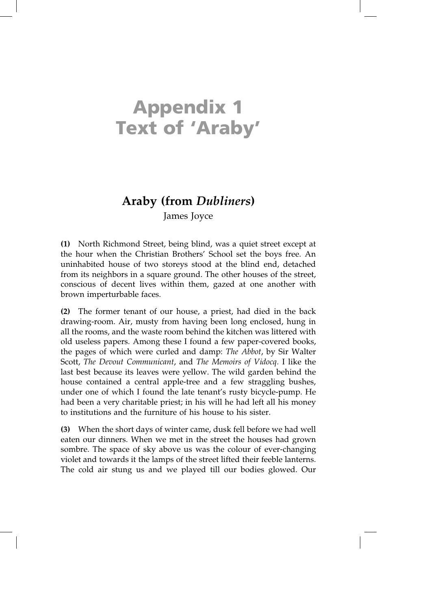# **Appendix 1 Text of 'Araby'**

# **Araby (from** *Dubliners***)**

James Joyce

**(1)** North Richmond Street, being blind, was a quiet street except at the hour when the Christian Brothers' School set the boys free. An uninhabited house of two storeys stood at the blind end, detached from its neighbors in a square ground. The other houses of the street, conscious of decent lives within them, gazed at one another with brown imperturbable faces.

**(2)** The former tenant of our house, a priest, had died in the back drawing-room. Air, musty from having been long enclosed, hung in all the rooms, and the waste room behind the kitchen was littered with old useless papers. Among these I found a few paper-covered books, the pages of which were curled and damp: *The Abbot*, by Sir Walter Scott, *The Devout Communicant*, and *The Memoirs of Vidocq.* I like the last best because its leaves were yellow. The wild garden behind the house contained a central apple-tree and a few straggling bushes, under one of which I found the late tenant's rusty bicycle-pump. He had been a very charitable priest; in his will he had left all his money to institutions and the furniture of his house to his sister.

**(3)** When the short days of winter came, dusk fell before we had well eaten our dinners. When we met in the street the houses had grown sombre. The space of sky above us was the colour of ever-changing violet and towards it the lamps of the street lifted their feeble lanterns. The cold air stung us and we played till our bodies glowed. Our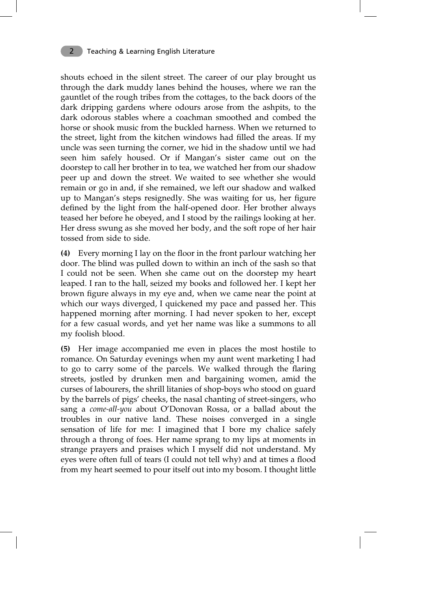shouts echoed in the silent street. The career of our play brought us through the dark muddy lanes behind the houses, where we ran the gauntlet of the rough tribes from the cottages, to the back doors of the dark dripping gardens where odours arose from the ashpits, to the dark odorous stables where a coachman smoothed and combed the horse or shook music from the buckled harness. When we returned to the street, light from the kitchen windows had filled the areas. If my uncle was seen turning the corner, we hid in the shadow until we had seen him safely housed. Or if Mangan's sister came out on the doorstep to call her brother in to tea, we watched her from our shadow peer up and down the street. We waited to see whether she would remain or go in and, if she remained, we left our shadow and walked up to Mangan's steps resignedly. She was waiting for us, her figure defined by the light from the half-opened door. Her brother always teased her before he obeyed, and I stood by the railings looking at her. Her dress swung as she moved her body, and the soft rope of her hair tossed from side to side.

**(4)** Every morning I lay on the floor in the front parlour watching her door. The blind was pulled down to within an inch of the sash so that I could not be seen. When she came out on the doorstep my heart leaped. I ran to the hall, seized my books and followed her. I kept her brown figure always in my eye and, when we came near the point at which our ways diverged, I quickened my pace and passed her. This happened morning after morning. I had never spoken to her, except for a few casual words, and yet her name was like a summons to all my foolish blood.

**(5)** Her image accompanied me even in places the most hostile to romance. On Saturday evenings when my aunt went marketing I had to go to carry some of the parcels. We walked through the flaring streets, jostled by drunken men and bargaining women, amid the curses of labourers, the shrill litanies of shop-boys who stood on guard by the barrels of pigs' cheeks, the nasal chanting of street-singers, who sang a *come-all-you* about O'Donovan Rossa, or a ballad about the troubles in our native land. These noises converged in a single sensation of life for me: I imagined that I bore my chalice safely through a throng of foes. Her name sprang to my lips at moments in strange prayers and praises which I myself did not understand. My eyes were often full of tears (I could not tell why) and at times a flood from my heart seemed to pour itself out into my bosom. I thought little

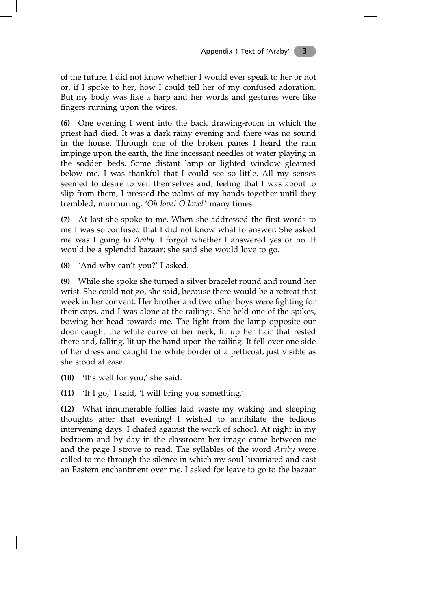of the future. I did not know whether I would ever speak to her or not or, if I spoke to her, how I could tell her of my confused adoration. But my body was like a harp and her words and gestures were like fingers running upon the wires.

**(6)** One evening I went into the back drawing-room in which the priest had died. It was a dark rainy evening and there was no sound in the house. Through one of the broken panes I heard the rain impinge upon the earth, the fine incessant needles of water playing in the sodden beds. Some distant lamp or lighted window gleamed below me. I was thankful that I could see so little. All my senses seemed to desire to veil themselves and, feeling that I was about to slip from them, I pressed the palms of my hands together until they trembled, murmuring: '*Oh love! O love!*' many times.

**(7)** At last she spoke to me. When she addressed the first words to me I was so confused that I did not know what to answer. She asked me was I going to *Araby.* I forgot whether I answered yes or no. It would be a splendid bazaar; she said she would love to go.

**(8)** 'And why can't you?' I asked.

**(9)** While she spoke she turned a silver bracelet round and round her wrist. She could not go, she said, because there would be a retreat that week in her convent. Her brother and two other boys were fighting for their caps, and I was alone at the railings. She held one of the spikes, bowing her head towards me. The light from the lamp opposite our door caught the white curve of her neck, lit up her hair that rested there and, falling, lit up the hand upon the railing. It fell over one side of her dress and caught the white border of a petticoat, just visible as she stood at ease.

**(10)** 'It's well for you,' she said.

**(11)** 'If I go,' I said, 'I will bring you something.'

**(12)** What innumerable follies laid waste my waking and sleeping thoughts after that evening! I wished to annihilate the tedious intervening days. I chafed against the work of school. At night in my bedroom and by day in the classroom her image came between me and the page I strove to read. The syllables of the word *Araby* were called to me through the silence in which my soul luxuriated and cast an Eastern enchantment over me. I asked for leave to go to the bazaar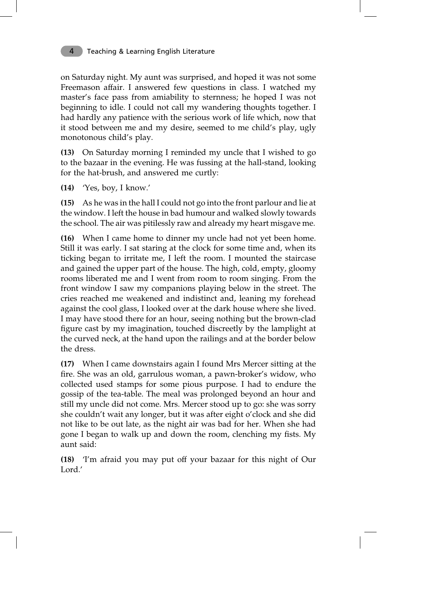on Saturday night. My aunt was surprised, and hoped it was not some Freemason affair. I answered few questions in class. I watched my master's face pass from amiability to sternness; he hoped I was not beginning to idle. I could not call my wandering thoughts together. I had hardly any patience with the serious work of life which, now that it stood between me and my desire, seemed to me child's play, ugly monotonous child's play.

**(13)** On Saturday morning I reminded my uncle that I wished to go to the bazaar in the evening. He was fussing at the hall-stand, looking for the hat-brush, and answered me curtly:

**(14)** 'Yes, boy, I know.'

**(15)** As he was in the hall I could not go into the front parlour and lie at the window. I left the house in bad humour and walked slowly towards the school. The air was pitilessly raw and already my heart misgave me.

**(16)** When I came home to dinner my uncle had not yet been home. Still it was early. I sat staring at the clock for some time and, when its ticking began to irritate me, I left the room. I mounted the staircase and gained the upper part of the house. The high, cold, empty, gloomy rooms liberated me and I went from room to room singing. From the front window I saw my companions playing below in the street. The cries reached me weakened and indistinct and, leaning my forehead against the cool glass, I looked over at the dark house where she lived. I may have stood there for an hour, seeing nothing but the brown-clad figure cast by my imagination, touched discreetly by the lamplight at the curved neck, at the hand upon the railings and at the border below the dress.

**(17)** When I came downstairs again I found Mrs Mercer sitting at the fire. She was an old, garrulous woman, a pawn-broker's widow, who collected used stamps for some pious purpose. I had to endure the gossip of the tea-table. The meal was prolonged beyond an hour and still my uncle did not come. Mrs. Mercer stood up to go: she was sorry she couldn't wait any longer, but it was after eight o'clock and she did not like to be out late, as the night air was bad for her. When she had gone I began to walk up and down the room, clenching my fists. My aunt said:

**(18)** 'I'm afraid you may put off your bazaar for this night of Our Lord.'

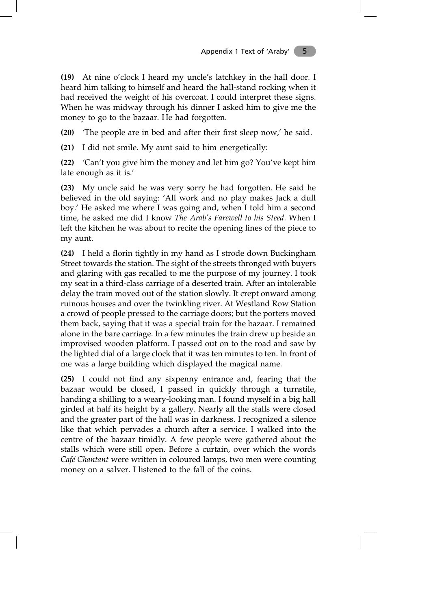**(19)** At nine o'clock I heard my uncle's latchkey in the hall door. I heard him talking to himself and heard the hall-stand rocking when it had received the weight of his overcoat. I could interpret these signs. When he was midway through his dinner I asked him to give me the money to go to the bazaar. He had forgotten.

**(20)** 'The people are in bed and after their first sleep now,' he said.

**(21)** I did not smile. My aunt said to him energetically:

**(22)** 'Can't you give him the money and let him go? You've kept him late enough as it is.'

**(23)** My uncle said he was very sorry he had forgotten. He said he believed in the old saying: 'All work and no play makes Jack a dull boy.' He asked me where I was going and, when I told him a second time, he asked me did I know *The Arab's Farewell to his Steed.* When I left the kitchen he was about to recite the opening lines of the piece to my aunt.

**(24)** I held a florin tightly in my hand as I strode down Buckingham Street towards the station. The sight of the streets thronged with buyers and glaring with gas recalled to me the purpose of my journey. I took my seat in a third-class carriage of a deserted train. After an intolerable delay the train moved out of the station slowly. It crept onward among ruinous houses and over the twinkling river. At Westland Row Station a crowd of people pressed to the carriage doors; but the porters moved them back, saying that it was a special train for the bazaar. I remained alone in the bare carriage. In a few minutes the train drew up beside an improvised wooden platform. I passed out on to the road and saw by the lighted dial of a large clock that it was ten minutes to ten. In front of me was a large building which displayed the magical name.

**(25)** I could not find any sixpenny entrance and, fearing that the bazaar would be closed, I passed in quickly through a turnstile, handing a shilling to a weary-looking man. I found myself in a big hall girded at half its height by a gallery. Nearly all the stalls were closed and the greater part of the hall was in darkness. I recognized a silence like that which pervades a church after a service. I walked into the centre of the bazaar timidly. A few people were gathered about the stalls which were still open. Before a curtain, over which the words *Café Chantant* were written in coloured lamps, two men were counting money on a salver. I listened to the fall of the coins.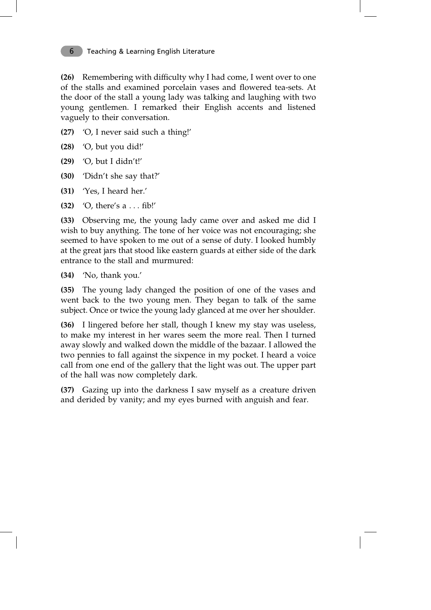**(26)** Remembering with difficulty why I had come, I went over to one of the stalls and examined porcelain vases and flowered tea-sets. At the door of the stall a young lady was talking and laughing with two young gentlemen. I remarked their English accents and listened vaguely to their conversation.

- **(27)** 'O, I never said such a thing!'
- **(28)** 'O, but you did!'
- **(29)** 'O, but I didn't!'
- **(30)** 'Didn't she say that?'
- **(31)** 'Yes, I heard her.'
- **(32)** 'O, there'sa... fib!'

**(33)** Observing me, the young lady came over and asked me did I wish to buy anything. The tone of her voice was not encouraging; she seemed to have spoken to me out of a sense of duty. I looked humbly at the great jars that stood like eastern guards at either side of the dark entrance to the stall and murmured:

**(34)** 'No, thank you.'

**(35)** The young lady changed the position of one of the vases and went back to the two young men. They began to talk of the same subject. Once or twice the young lady glanced at me over her shoulder.

**(36)** I lingered before her stall, though I knew my stay was useless, to make my interest in her wares seem the more real. Then I turned away slowly and walked down the middle of the bazaar. I allowed the two pennies to fall against the sixpence in my pocket. I heard a voice call from one end of the gallery that the light was out. The upper part of the hall was now completely dark.

**(37)** Gazing up into the darkness I saw myself as a creature driven and derided by vanity; and my eyes burned with anguish and fear.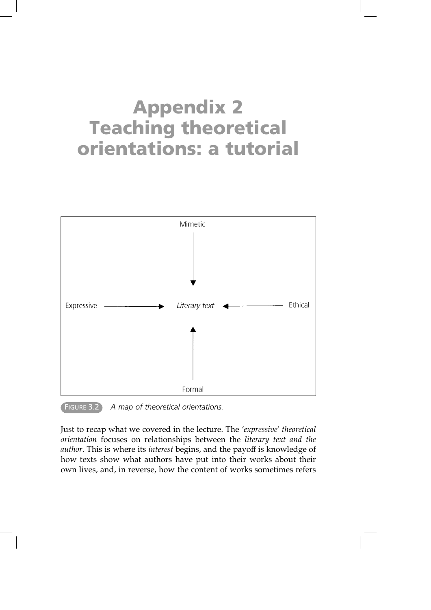# **Appendix 2 Teaching theoretical orientations: a tutorial**



FIGURE 3.2 *A map of theoretical orientations.*

Just to recap what we covered in the lecture. The '*expressive*' *theoretical orientation* focuses on relationships between the *literary text and the author*. This is where its *interest* begins, and the payoff is knowledge of how texts show what authors have put into their works about their own lives, and, in reverse, how the content of works sometimes refers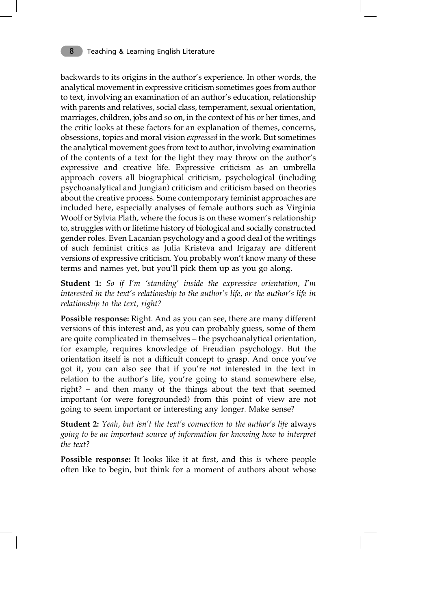backwards to its origins in the author's experience. In other words, the analytical movement in expressive criticism sometimes goes from author to text, involving an examination of an author's education, relationship with parents and relatives, social class, temperament, sexual orientation, marriages, children, jobs and so on, in the context of his or her times, and the critic looks at these factors for an explanation of themes, concerns, obsessions, topics and moral vision *expressed* in the work. But sometimes the analytical movement goes from text to author, involving examination of the contents of a text for the light they may throw on the author's expressive and creative life. Expressive criticism as an umbrella approach covers all biographical criticism, psychological (including psychoanalytical and Jungian) criticism and criticism based on theories about the creative process. Some contemporary feminist approaches are included here, especially analyses of female authors such as Virginia Woolf or Sylvia Plath, where the focus is on these women's relationship to, struggles with or lifetime history of biological and socially constructed gender roles. Even Lacanian psychology and a good deal of the writings of such feminist critics as Julia Kristeva and Irigaray are different versions of expressive criticism. You probably won't know many of these terms and names yet, but you'll pick them up as you go along.

**Student 1:** *So if I'm 'standing' inside the expressive orientation, I'm interested in the text's relationship to the author's life, or the author's life in relationship to the text, right?*

**Possible response:** Right. And as you can see, there are many different versions of this interest and, as you can probably guess, some of them are quite complicated in themselves – the psychoanalytical orientation, for example, requires knowledge of Freudian psychology. But the orientation itself is not a difficult concept to grasp. And once you've got it, you can also see that if you're *not* interested in the text in relation to the author's life, you're going to stand somewhere else, right? – and then many of the things about the text that seemed important (or were foregrounded) from this point of view are not going to seem important or interesting any longer. Make sense?

**Student 2:** *Yeah, but isn't the text's connection to the author's life* always *going to be an important source of information for knowing how to interpret the text?*

**Possible response:** It looks like it at first, and this *is* where people often like to begin, but think for a moment of authors about whose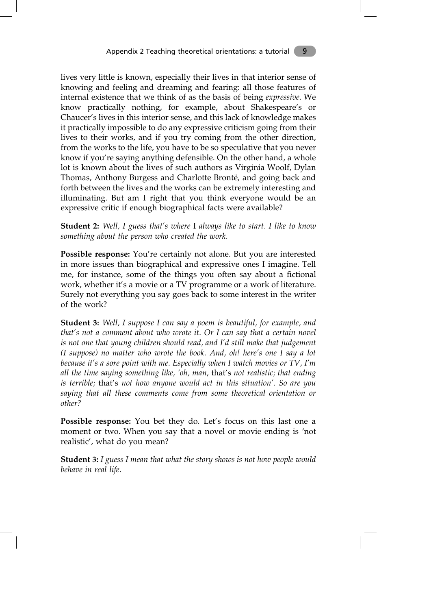lives very little is known, especially their lives in that interior sense of knowing and feeling and dreaming and fearing: all those features of internal existence that we think of as the basis of being *expressive*. We know practically nothing, for example, about Shakespeare's or Chaucer's lives in this interior sense, and this lack of knowledge makes it practically impossible to do any expressive criticism going from their lives to their works, and if you try coming from the other direction, from the works to the life, you have to be so speculative that you never know if you're saying anything defensible. On the other hand, a whole lot is known about the lives of such authors as Virginia Woolf, Dylan Thomas, Anthony Burgess and Charlotte Brontë, and going back and forth between the lives and the works can be extremely interesting and illuminating. But am I right that you think everyone would be an expressive critic if enough biographical facts were available?

**Student 2:** *Well, I guess that's where* I *always like to start. I like to know something about the person who created the work.*

**Possible response:** You're certainly not alone. But you are interested in more issues than biographical and expressive ones I imagine. Tell me, for instance, some of the things you often say about a fictional work, whether it's a movie or a TV programme or a work of literature. Surely not everything you say goes back to some interest in the writer of the work?

**Student 3:** *Well, I suppose I can say a poem is beautiful, for example, and that's not a comment about who wrote it. Or I can say that a certain novel is not one that young children should read, and I'd still make that judgement (I suppose) no matter who wrote the book. And, oh! here's one I say a lot because it's a sore point with me. Especially when I watch movies or TV, I'm all the time saying something like, 'oh, man*, that's *not realistic; that ending is terrible;* that's *not how anyone would act in this situation'. So are you saying that all these comments come from some theoretical orientation or other?*

**Possible response:** You bet they do. Let's focus on this last one a moment or two. When you say that a novel or movie ending is 'not realistic', what do you mean?

**Student 3:** *I guess I mean that what the story shows is not how people would behave in real life.*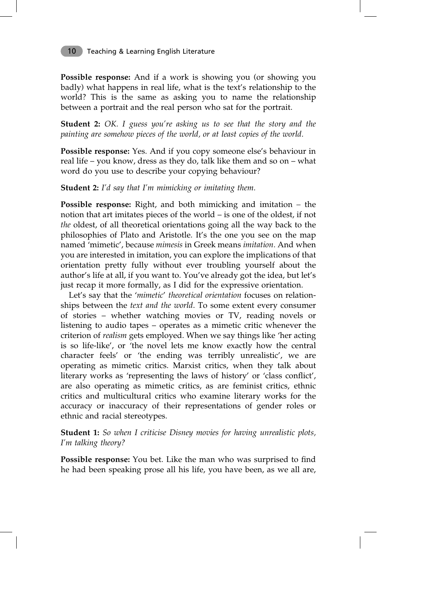**Possible response:** And if a work is showing you (or showing you badly) what happens in real life, what is the text's relationship to the world? This is the same as asking you to name the relationship between a portrait and the real person who sat for the portrait.

**Student 2:** *OK. I guess you're asking us to see that the story and the painting are somehow pieces of the world, or at least copies of the world.*

**Possible response:** Yes. And if you copy someone else's behaviour in real life – you know, dress as they do, talk like them and so on – what word do you use to describe your copying behaviour?

### **Student 2:** *I'd say that I'm mimicking or imitating them.*

**Possible response:** Right, and both mimicking and imitation *–* the notion that art imitates pieces of the world – is one of the oldest, if not *the* oldest, of all theoretical orientations going all the way back to the philosophies of Plato and Aristotle. It's the one you see on the map named 'mimetic', because *mimesis* in Greek means *imitation.* And when you are interested in imitation, you can explore the implications of that orientation pretty fully without ever troubling yourself about the author's life at all, if you want to. You've already got the idea, but let's just recap it more formally, as I did for the expressive orientation.

Let's say that the '*mimetic*' *theoretical orientation* focuses on relationships between the *text and the world*. To some extent every consumer of stories – whether watching movies or TV, reading novels or listening to audio tapes – operates as a mimetic critic whenever the criterion of *realism* gets employed. When we say things like 'her acting is so life-like', or 'the novel lets me know exactly how the central character feels' or 'the ending was terribly unrealistic', we are operating as mimetic critics. Marxist critics, when they talk about literary works as 'representing the laws of history' or 'class conflict', are also operating as mimetic critics, as are feminist critics, ethnic critics and multicultural critics who examine literary works for the accuracy or inaccuracy of their representations of gender roles or ethnic and racial stereotypes.

**Student 1:** *So when I criticise Disney movies for having unrealistic plots, I'm talking theory?*

**Possible response:** You bet. Like the man who was surprised to find he had been speaking prose all his life, you have been, as we all are,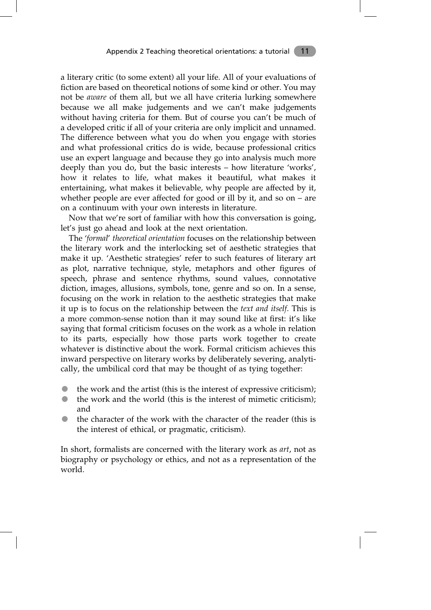a literary critic (to some extent) all your life. All of your evaluations of fiction are based on theoretical notions of some kind or other. You may not be *aware* of them all, but we all have criteria lurking somewhere because we all make judgements and we can't make judgements without having criteria for them. But of course you can't be much of a developed critic if all of your criteria are only implicit and unnamed. The difference between what you do when you engage with stories and what professional critics do is wide, because professional critics use an expert language and because they go into analysis much more deeply than you do, but the basic interests – how literature 'works', how it relates to life, what makes it beautiful, what makes it entertaining, what makes it believable, why people are affected by it, whether people are ever affected for good or ill by it, and so on – are on a continuum with your own interests in literature.

Now that we're sort of familiar with how this conversation is going, let's just go ahead and look at the next orientation.

The '*formal*' *theoretical orientation* focuses on the relationship between the literary work and the interlocking set of aesthetic strategies that make it up. 'Aesthetic strategies' refer to such features of literary art as plot, narrative technique, style, metaphors and other figures of speech, phrase and sentence rhythms, sound values, connotative diction, images, allusions, symbols, tone, genre and so on. In a sense, focusing on the work in relation to the aesthetic strategies that make it up is to focus on the relationship between the *text and itself*. This is a more common-sense notion than it may sound like at first: it's like saying that formal criticism focuses on the work as a whole in relation to its parts, especially how those parts work together to create whatever is distinctive about the work. Formal criticism achieves this inward perspective on literary works by deliberately severing, analytically, the umbilical cord that may be thought of as tying together:

- the work and the artist (this is the interest of expressive criticism);
- the work and the world (this is the interest of mimetic criticism); and
- the character of the work with the character of the reader (this is the interest of ethical, or pragmatic, criticism).

In short, formalists are concerned with the literary work as *art*, not as biography or psychology or ethics, and not as a representation of the world.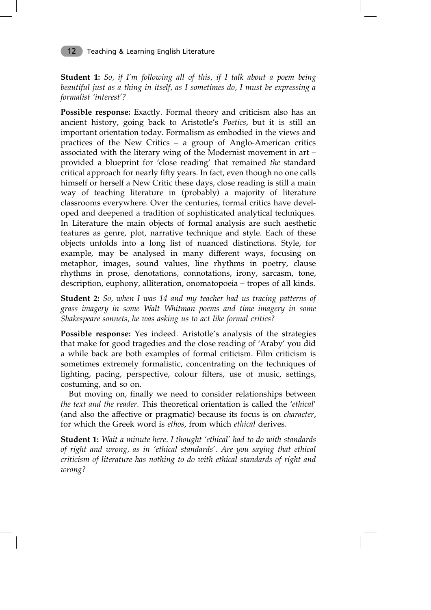**Student 1:** *So, if I'm following all of this, if I talk about a poem being beautiful just as a thing in itself, as I sometimes do, I must be expressing a formalist 'interest'?*

**Possible response:** Exactly. Formal theory and criticism also has an ancient history, going back to Aristotle's *Poetics*, but it is still an important orientation today. Formalism as embodied in the views and practices of the New Critics – a group of Anglo-American critics associated with the literary wing of the Modernist movement in art – provided a blueprint for 'close reading' that remained *the* standard critical approach for nearly fifty years. In fact, even though no one calls himself or herself a New Critic these days, close reading is still a main way of teaching literature in (probably) a majority of literature classrooms everywhere. Over the centuries, formal critics have developed and deepened a tradition of sophisticated analytical techniques. In Literature the main objects of formal analysis are such aesthetic features as genre, plot, narrative technique and style. Each of these objects unfolds into a long list of nuanced distinctions. Style, for example, may be analysed in many different ways, focusing on metaphor, images, sound values, line rhythms in poetry, clause rhythms in prose, denotations, connotations, irony, sarcasm, tone, description, euphony, alliteration, onomatopoeia – tropes of all kinds.

**Student 2:** *So, when I was 14 and my teacher had us tracing patterns of grass imagery in some Walt Whitman poems and time imagery in some Shakespeare sonnets, he was asking us to act like formal critics?*

**Possible response:** Yes indeed. Aristotle's analysis of the strategies that make for good tragedies and the close reading of 'Araby' you did a while back are both examples of formal criticism. Film criticism is sometimes extremely formalistic, concentrating on the techniques of lighting, pacing, perspective, colour filters, use of music, settings, costuming, and so on.

But moving on, finally we need to consider relationships between *the text and the reader*. This theoretical orientation is called the '*ethical*' (and also the affective or pragmatic) because its focus is on *character*, for which the Greek word is *ethos*, from which *ethical* derives.

**Student 1:** *Wait a minute here. I thought 'ethical' had to do with standards of right and wrong, as in 'ethical standards'. Are you saying that ethical criticism of literature has nothing to do with ethical standards of right and wrong?*

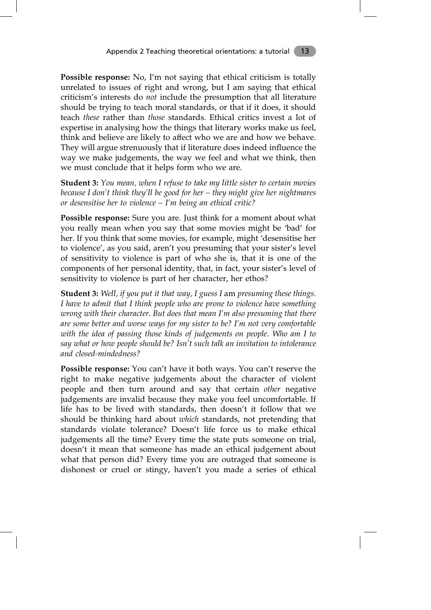**Possible response:** No, I'm not saying that ethical criticism is totally unrelated to issues of right and wrong, but I am saying that ethical criticism's interests do *not* include the presumption that all literature should be trying to teach moral standards, or that if it does, it should teach *these* rather than *those* standards. Ethical critics invest a lot of expertise in analysing how the things that literary works make us feel, think and believe are likely to affect who we are and how we behave. They will argue strenuously that if literature does indeed influence the way we make judgements, the way we feel and what we think, then we must conclude that it helps form who we are.

**Student 3:** *You mean, when I refuse to take my little sister to certain movies because I don't think they'll be good for her – they might give her nightmares or desensitise her to violence – I'm being an ethical critic?*

**Possible response:** Sure you are. Just think for a moment about what you really mean when you say that some movies might be 'bad' for her. If you think that some movies, for example, might 'desensitise her to violence', as you said, aren't you presuming that your sister's level of sensitivity to violence is part of who she is, that it is one of the components of her personal identity, that, in fact, your sister's level of sensitivity to violence is part of her character, her ethos?

**Student 3:** *Well, if you put it that way, I guess I* am *presuming these things. I have to admit that I think people who are prone to violence have something wrong with their character. But does that mean I'm also presuming that there are some better and worse ways for my sister to be? I'm not very comfortable with the idea of passing those kinds of judgements on people. Who am I to say what or how people should be? Isn't such talk an invitation to intolerance and closed-mindedness?*

**Possible response:** You can't have it both ways. You can't reserve the right to make negative judgements about the character of violent people and then turn around and say that certain *other* negative judgements are invalid because they make you feel uncomfortable. If life has to be lived with standards, then doesn't it follow that we should be thinking hard about *which* standards, not pretending that standards violate tolerance? Doesn't life force us to make ethical judgements all the time? Every time the state puts someone on trial, doesn't it mean that someone has made an ethical judgement about what that person did? Every time you are outraged that someone is dishonest or cruel or stingy, haven't you made a series of ethical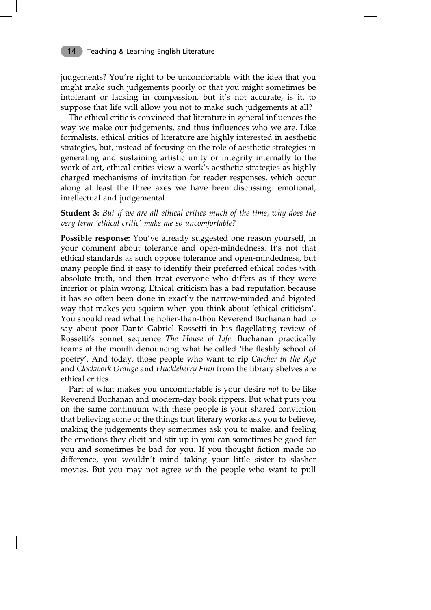judgements? You're right to be uncomfortable with the idea that you might make such judgements poorly or that you might sometimes be intolerant or lacking in compassion, but it's not accurate, is it, to suppose that life will allow you not to make such judgements at all?

The ethical critic is convinced that literature in general influences the way we make our judgements, and thus influences who we are. Like formalists, ethical critics of literature are highly interested in aesthetic strategies, but, instead of focusing on the role of aesthetic strategies in generating and sustaining artistic unity or integrity internally to the work of art, ethical critics view a work's aesthetic strategies as highly charged mechanisms of invitation for reader responses, which occur along at least the three axes we have been discussing: emotional, intellectual and judgemental.

**Student 3:** *But if we are all ethical critics much of the time, why does the very term 'ethical critic' make me so uncomfortable?*

**Possible response:** You've already suggested one reason yourself, in your comment about tolerance and open-mindedness. It's not that ethical standards as such oppose tolerance and open-mindedness, but many people find it easy to identify their preferred ethical codes with absolute truth, and then treat everyone who differs as if they were inferior or plain wrong. Ethical criticism has a bad reputation because it has so often been done in exactly the narrow-minded and bigoted way that makes you squirm when you think about 'ethical criticism'. You should read what the holier-than-thou Reverend Buchanan had to say about poor Dante Gabriel Rossetti in his flagellating review of Rossetti's sonnet sequence *The House of Life.* Buchanan practically foams at the mouth denouncing what he called 'the fleshly school of poetry'. And today, those people who want to rip *Catcher in the Rye* and *Clockwork Orange* and *Huckleberry Finn* from the library shelves are ethical critics.

Part of what makes you uncomfortable is your desire *not* to be like Reverend Buchanan and modern-day book rippers. But what puts you on the same continuum with these people is your shared conviction that believing some of the things that literary works ask you to believe, making the judgements they sometimes ask you to make, and feeling the emotions they elicit and stir up in you can sometimes be good for you and sometimes be bad for you. If you thought fiction made no difference, you wouldn't mind taking your little sister to slasher movies. But you may not agree with the people who want to pull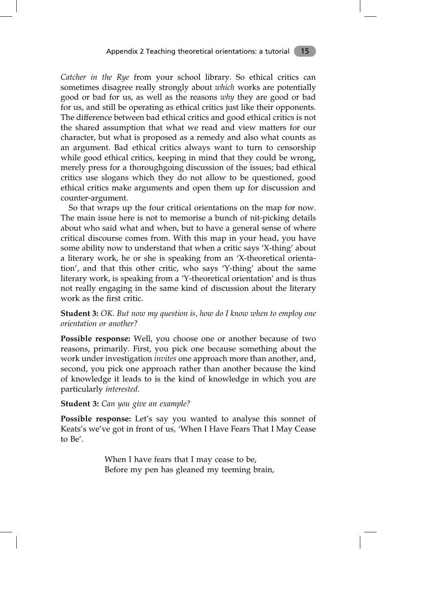*Catcher in the Rye* from your school library. So ethical critics can sometimes disagree really strongly about *which* works are potentially good or bad for us, as well as the reasons *why* they are good or bad for us, and still be operating as ethical critics just like their opponents. The difference between bad ethical critics and good ethical critics is not the shared assumption that what we read and view matters for our character, but what is proposed as a remedy and also what counts as an argument. Bad ethical critics always want to turn to censorship while good ethical critics, keeping in mind that they could be wrong, merely press for a thoroughgoing discussion of the issues; bad ethical critics use slogans which they do not allow to be questioned, good ethical critics make arguments and open them up for discussion and counter-argument.

So that wraps up the four critical orientations on the map for now. The main issue here is not to memorise a bunch of nit-picking details about who said what and when, but to have a general sense of where critical discourse comes from. With this map in your head, you have some ability now to understand that when a critic says 'X-thing' about a literary work, he or she is speaking from an 'X-theoretical orientation', and that this other critic, who says 'Y-thing' about the same literary work, is speaking from a 'Y-theoretical orientation' and is thus not really engaging in the same kind of discussion about the literary work as the first critic.

### **Student 3:** *OK. But now my question is, how do I know when to employ one orientation or another?*

**Possible response:** Well, you choose one or another because of two reasons, primarily. First, you pick one because something about the work under investigation *invites* one approach more than another, and, second, you pick one approach rather than another because the kind of knowledge it leads to is the kind of knowledge in which you are particularly *interested*.

### **Student 3:** *Can you give an example?*

**Possible response:** Let's say you wanted to analyse this sonnet of Keats's we've got in front of us, 'When I Have Fears That I May Cease to Be'.

> When I have fears that I may cease to be, Before my pen has gleaned my teeming brain,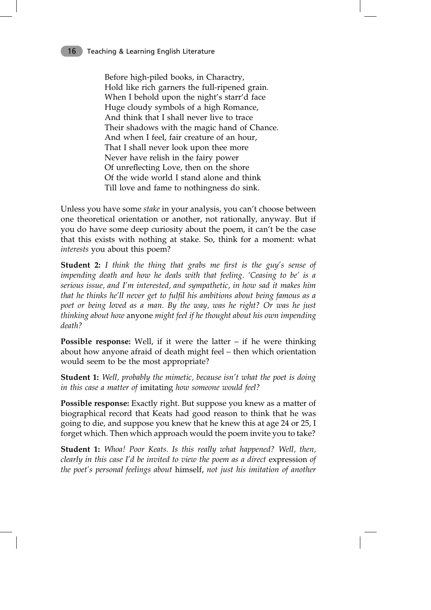Before high-piled books, in Charactry, Hold like rich garners the full-ripened grain. When I behold upon the night's starr'd face Huge cloudy symbols of a high Romance, And think that I shall never live to trace Their shadows with the magic hand of Chance. And when I feel, fair creature of an hour, That I shall never look upon thee more Never have relish in the fairy power Of unreflecting Love, then on the shore Of the wide world I stand alone and think Till love and fame to nothingness do sink.

Unless you have some *stake* in your analysis, you can't choose between one theoretical orientation or another, not rationally, anyway. But if you do have some deep curiosity about the poem, it can't be the case that this exists with nothing at stake. So, think for a moment: what *interests* you about this poem?

**Student 2:** *I think the thing that grabs me first is the guy's sense of impending death and how he deals with that feeling. 'Ceasing to be' is a serious issue, and I'm interested, and sympathetic, in how sad it makes him that he thinks he'll never get to fulfil his ambitions about being famous as a poet or being loved as a man. By the way, was he right? Or was he just thinking about how* anyone *might feel if he thought about his own impending death?*

**Possible response:** Well, if it were the latter – if he were thinking about how anyone afraid of death might feel – then which orientation would seem to be the most appropriate?

**Student 1:** *Well, probably the mimetic, because isn't what the poet is doing in this case a matter of* imitating *how someone would feel?*

**Possible response:** Exactly right. But suppose you knew as a matter of biographical record that Keats had good reason to think that he was going to die, and suppose you knew that he knew this at age 24 or 25, I forget which. Then which approach would the poem invite you to take?

**Student 1:** *Whoa! Poor Keats. Is this really what happened? Well, then, clearly in this case I'd be invited to view the poem as a direct* expression *of the poet's personal feelings about* himself, *not just his imitation of another*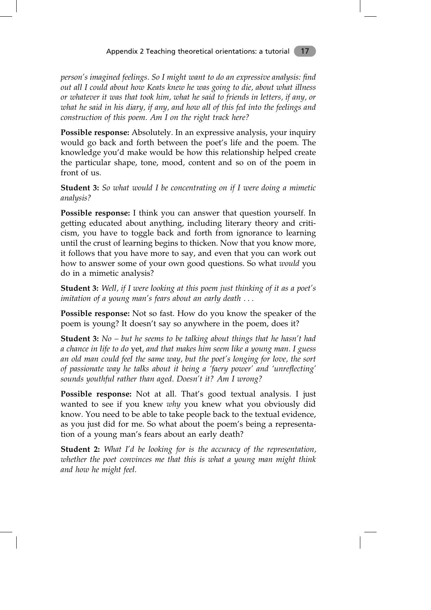### Appendix 2 Teaching theoretical orientations: a tutorial 17

*person's imagined feelings. So I might want to do an expressive analysis: find out all I could about how Keats knew he was going to die, about what illness or whatever it was that took him, what he said to friends in letters, if any, or what he said in his diary, if any, and how all of this fed into the feelings and construction of this poem. Am I on the right track here?*

**Possible response:** Absolutely. In an expressive analysis, your inquiry would go back and forth between the poet's life and the poem. The knowledge you'd make would be how this relationship helped create the particular shape, tone, mood, content and so on of the poem in front of us.

**Student 3:** *So what would I be concentrating on if I were doing a mimetic analysis?*

**Possible response:** I think you can answer that question yourself. In getting educated about anything, including literary theory and criticism, you have to toggle back and forth from ignorance to learning until the crust of learning begins to thicken. Now that you know more, it follows that you have more to say, and even that you can work out how to answer some of your own good questions. So what *would* you do in a mimetic analysis?

**Student 3:** *Well, if I were looking at this poem just thinking of it as a poet's imitation of a young man's fears about an early death . . .*

**Possible response:** Not so fast. How do you know the speaker of the poem is young? It doesn't say so anywhere in the poem, does it?

**Student 3:** *No – but he seems to be talking about things that he hasn't had a chance in life to do* yet, *and that makes him seem like a young man. I guess an old man could feel the same way, but the poet's longing for love, the sort of passionate way he talks about it being a 'faery power' and 'unreflecting' sounds youthful rather than aged. Doesn't it? Am I wrong?*

**Possible response:** Not at all. That's good textual analysis. I just wanted to see if you knew *why* you knew what you obviously did know. You need to be able to take people back to the textual evidence, as you just did for me. So what about the poem's being a representation of a young man's fears about an early death?

**Student 2:** *What I'd be looking for is the accuracy of the representation, whether the poet convinces me that this is what a young man might think and how he might feel.*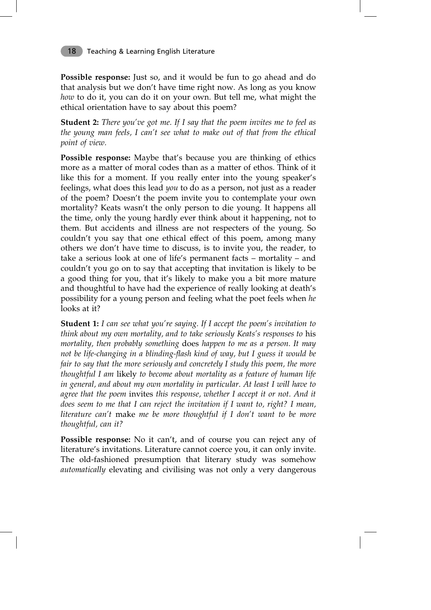**Possible response:** Just so, and it would be fun to go ahead and do that analysis but we don't have time right now. As long as you know *how* to do it, you can do it on your own. But tell me, what might the ethical orientation have to say about this poem?

**Student 2:** *There you've got me. If I say that the poem invites me to feel as the young man feels, I can't see what to make out of that from the ethical point of view.*

**Possible response:** Maybe that's because you are thinking of ethics more as a matter of moral codes than as a matter of ethos. Think of it like this for a moment. If you really enter into the young speaker's feelings, what does this lead *you* to do as a person, not just as a reader of the poem? Doesn't the poem invite you to contemplate your own mortality? Keats wasn't the only person to die young. It happens all the time, only the young hardly ever think about it happening, not to them. But accidents and illness are not respecters of the young. So couldn't you say that one ethical effect of this poem, among many others we don't have time to discuss, is to invite you, the reader, to take a serious look at one of life's permanent facts – mortality – and couldn't you go on to say that accepting that invitation is likely to be a good thing for you, that it's likely to make you a bit more mature and thoughtful to have had the experience of really looking at death's possibility for a young person and feeling what the poet feels when *he* looks at it?

**Student 1:** *I can see what you're saying. If I accept the poem's invitation to think about my own mortality, and to take seriously Keats's responses to* his *mortality, then probably something* does *happen to me as a person. It may not be life-changing in a blinding-flash kind of way, but I guess it would be fair to say that the more seriously and concretely I study this poem, the more thoughtful I am* likely *to become about mortality as a feature of human life in general, and about my own mortality in particular. At least I will have to agree that the poem* invites *this response, whether I accept it or not. And it does seem to me that I can reject the invitation if I want to, right? I mean, literature can't* make *me be more thoughtful if I don't want to be more thoughtful, can it?*

**Possible response:** No it can't, and of course you can reject any of literature's invitations. Literature cannot coerce you, it can only invite. The old-fashioned presumption that literary study was somehow *automatically* elevating and civilising was not only a very dangerous

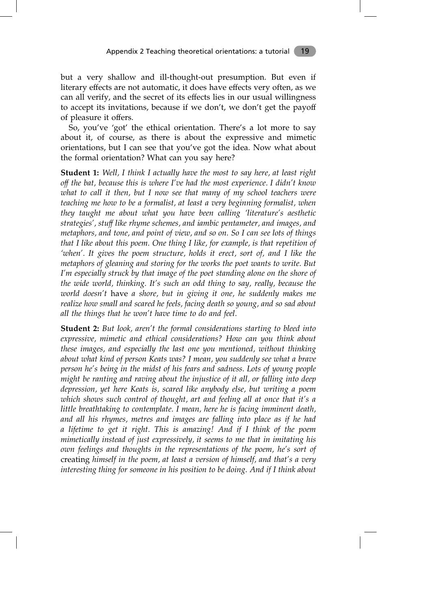but a very shallow and ill-thought-out presumption. But even if literary effects are not automatic, it does have effects very often, as we can all verify, and the secret of its effects lies in our usual willingness to accept its invitations, because if we don't, we don't get the payoff of pleasure it offers.

So, you've 'got' the ethical orientation. There's a lot more to say about it, of course, as there is about the expressive and mimetic orientations, but I can see that you've got the idea. Now what about the formal orientation? What can you say here?

**Student 1:** *Well, I think I actually have the most to say here, at least right off the bat, because this is where I've had the most experience. I didn't know what to call it then, but I now see that many of my school teachers were teaching me how to be a formalist, at least a very beginning formalist, when they taught me about what you have been calling 'literature's aesthetic strategies', stuff like rhyme schemes, and iambic pentameter, and images, and metaphors, and tone, and point of view, and so on. So I can see lots of things that I like about this poem. One thing I like, for example, is that repetition of 'when'. It gives the poem structure, holds it erect, sort of, and I like the metaphors of gleaning and storing for the works the poet wants to write. But I'm especially struck by that image of the poet standing alone on the shore of the wide world, thinking. It's such an odd thing to say, really, because the world doesn't* have *a shore, but in giving it one, he suddenly makes me realize how small and scared he feels, facing death so young, and so sad about all the things that he won't have time to do and feel.*

**Student 2:** *But look, aren't the formal considerations starting to bleed into expressive, mimetic and ethical considerations? How can you think about these images, and especially the last one you mentioned, without thinking about what kind of person Keats was? I mean, you suddenly see what a brave person he's being in the midst of his fears and sadness. Lots of young people might be ranting and raving about the injustice of it all, or falling into deep depression, yet here Keats is, scared like anybody else, but writing a poem which shows such control of thought, art and feeling all at once that it's a little breathtaking to contemplate. I mean, here he is facing imminent death, and all his rhymes, metres and images are falling into place as if he had a lifetime to get it right. This is amazing! And if I think of the poem mimetically instead of just expressively, it seems to me that in imitating his own feelings and thoughts in the representations of the poem, he's sort of* creating *himself in the poem, at least a version of himself, and that's a very interesting thing for someone in his position to be doing. And if I think about*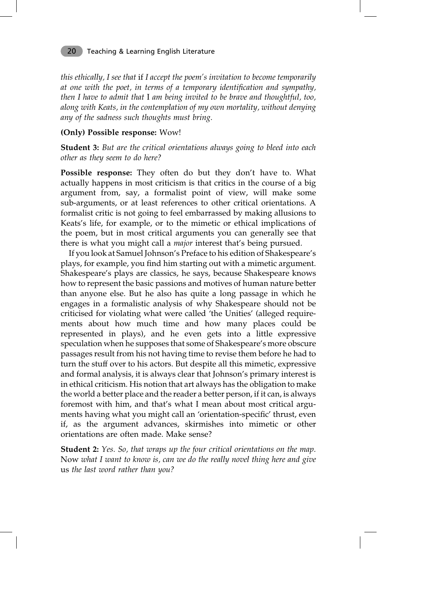*this ethically, I see that* if *I accept the poem's invitation to become temporarily at one with the poet, in terms of a temporary identification and sympathy, then I have to admit that* I *am being invited to be brave and thoughtful, too, along with Keats, in the contemplation of my own mortality, without denying any of the sadness such thoughts must bring.*

### **(Only) Possible response:** Wow!

**Student 3:** *But are the critical orientations always going to bleed into each other as they seem to do here?*

**Possible response:** They often do but they don't have to. What actually happens in most criticism is that critics in the course of a big argument from, say, a formalist point of view, will make some sub-arguments, or at least references to other critical orientations. A formalist critic is not going to feel embarrassed by making allusions to Keats's life, for example, or to the mimetic or ethical implications of the poem, but in most critical arguments you can generally see that there is what you might call a *major* interest that's being pursued.

If you look at Samuel Johnson's Preface to his edition of Shakespeare's plays, for example, you find him starting out with a mimetic argument. Shakespeare's plays are classics, he says, because Shakespeare knows how to represent the basic passions and motives of human nature better than anyone else. But he also has quite a long passage in which he engages in a formalistic analysis of why Shakespeare should not be criticised for violating what were called 'the Unities' (alleged requirements about how much time and how many places could be represented in plays), and he even gets into a little expressive speculation when he supposes that some of Shakespeare's more obscure passages result from his not having time to revise them before he had to turn the stuff over to his actors. But despite all this mimetic, expressive and formal analysis, it is always clear that Johnson's primary interest is in ethical criticism. His notion that art always has the obligation to make the world a better place and the reader a better person, if it can, is always foremost with him, and that's what I mean about most critical arguments having what you might call an 'orientation-specific' thrust, even if, as the argument advances, skirmishes into mimetic or other orientations are often made. Make sense?

**Student 2:** *Yes. So, that wraps up the four critical orientations on the map.* Now *what I want to know is, can we do the really novel thing here and give* us *the last word rather than you?*

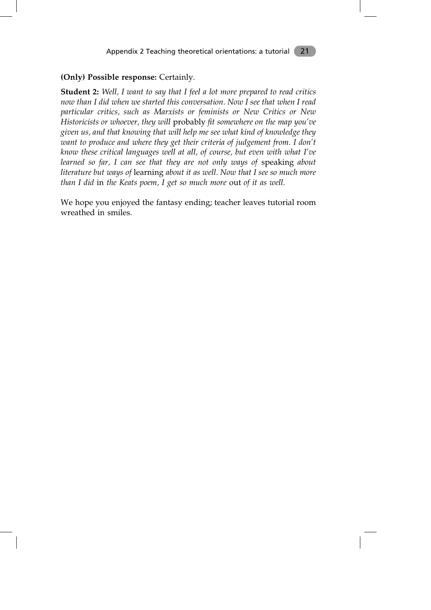### **(Only) Possible response:** Certainly.

**Student 2:** *Well, I want to say that I feel a lot more prepared to read critics now than I did when we started this conversation. Now I see that when I read particular critics, such as Marxists or feminists or New Critics or New Historicists or whoever, they will* probably *fit somewhere on the map you've given us, and that knowing that will help me see what kind of knowledge they want to produce and where they get their criteria of judgement from. I don't know these critical languages well at all, of course, but even with what I've learned so far, I can see that they are not only ways of* speaking *about literature but ways of* learning *about it as well. Now that I see so much more than I did* in *the Keats poem, I get so much more* out *of it as well.*

We hope you enjoyed the fantasy ending; teacher leaves tutorial room wreathed in smiles.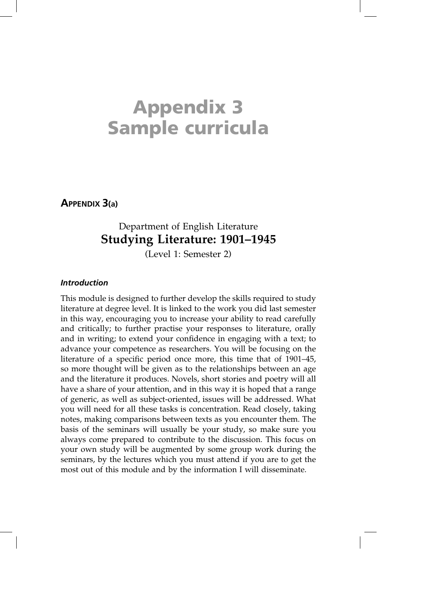# **Appendix 3 Sample curricula**

**APPENDIX 3(a)**

# Department of English Literature **Studying Literature: 1901–1945**

(Level 1: Semester 2)

### *Introduction*

This module is designed to further develop the skills required to study literature at degree level. It is linked to the work you did last semester in this way, encouraging you to increase your ability to read carefully and critically; to further practise your responses to literature, orally and in writing; to extend your confidence in engaging with a text; to advance your competence as researchers. You will be focusing on the literature of a specific period once more, this time that of 1901–45, so more thought will be given as to the relationships between an age and the literature it produces. Novels, short stories and poetry will all have a share of your attention, and in this way it is hoped that a range of generic, as well as subject-oriented, issues will be addressed. What you will need for all these tasks is concentration. Read closely, taking notes, making comparisons between texts as you encounter them. The basis of the seminars will usually be your study, so make sure you always come prepared to contribute to the discussion. This focus on your own study will be augmented by some group work during the seminars, by the lectures which you must attend if you are to get the most out of this module and by the information I will disseminate.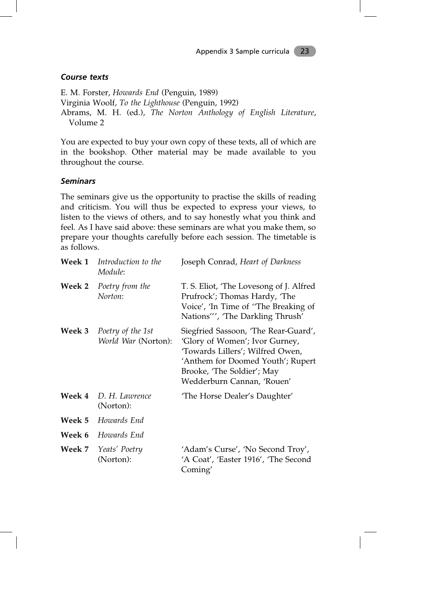### *Course texts*

E. M. Forster, *Howards End* (Penguin, 1989) Virginia Woolf, *To the Lighthouse* (Penguin, 1992) Abrams, M. H. (ed.), *The Norton Anthology of English Literature*, Volume 2

You are expected to buy your own copy of these texts, all of which are in the bookshop. Other material may be made available to you throughout the course.

### *Seminars*

The seminars give us the opportunity to practise the skills of reading and criticism. You will thus be expected to express your views, to listen to the views of others, and to say honestly what you think and feel. As I have said above: these seminars are what you make them, so prepare your thoughts carefully before each session. The timetable is as follows.

| Week 1        | Introduction to the<br>Module:           | Joseph Conrad, Heart of Darkness                                                                                                                                                                            |
|---------------|------------------------------------------|-------------------------------------------------------------------------------------------------------------------------------------------------------------------------------------------------------------|
| Week 2        | Poetry from the<br>Norton:               | T. S. Eliot, 'The Lovesong of J. Alfred<br>Prufrock'; Thomas Hardy, 'The<br>Voice', 'In Time of "The Breaking of<br>Nations"', 'The Darkling Thrush'                                                        |
| <b>Week 3</b> | Poetry of the 1st<br>World War (Norton): | Siegfried Sassoon, 'The Rear-Guard',<br>'Glory of Women'; Ivor Gurney,<br>'Towards Lillers'; Wilfred Owen,<br>'Anthem for Doomed Youth'; Rupert<br>Brooke, 'The Soldier'; May<br>Wedderburn Cannan, 'Rouen' |
| Week 4        | D. H. Lawrence<br>(Norton):              | 'The Horse Dealer's Daughter'                                                                                                                                                                               |
| Week 5        | Howards End                              |                                                                                                                                                                                                             |
| Week 6        | Howards End                              |                                                                                                                                                                                                             |
| <b>Week 7</b> | Yeats' Poetry<br>(Norton):               | 'Adam's Curse', 'No Second Troy',<br>'A Coat', 'Easter 1916', 'The Second<br>Coming'                                                                                                                        |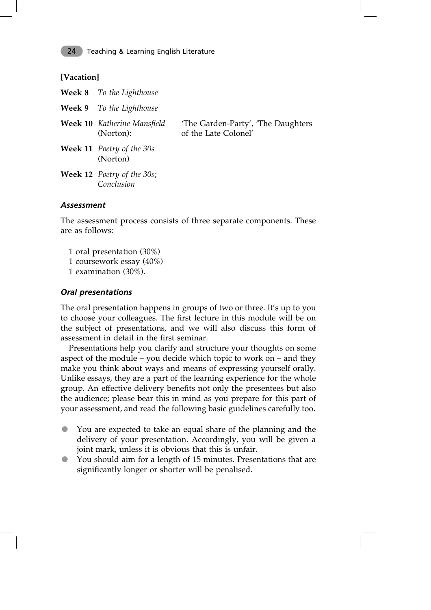### **[Vacation]**

| Week 8 To the Lighthouse                        |                                                             |
|-------------------------------------------------|-------------------------------------------------------------|
| <b>Week 9</b> To the Lighthouse                 |                                                             |
| Week 10 Katherine Mansfield<br>(Norton):        | 'The Garden-Party', 'The Daughters'<br>of the Late Colonel' |
| <b>Week 11</b> Poetry of the 30s<br>(Norton)    |                                                             |
| <b>Week 12</b> Poetry of the 30s;<br>Conclusion |                                                             |
|                                                 |                                                             |

### *Assessment*

The assessment process consists of three separate components. These are as follows:

- 1 oral presentation (30%)
- 1 coursework essay (40%)
- 1 examination (30%).

### *Oral presentations*

The oral presentation happens in groups of two or three. It's up to you to choose your colleagues. The first lecture in this module will be on the subject of presentations, and we will also discuss this form of assessment in detail in the first seminar.

Presentations help you clarify and structure your thoughts on some aspect of the module – you decide which topic to work on – and they make you think about ways and means of expressing yourself orally. Unlike essays, they are a part of the learning experience for the whole group. An effective delivery benefits not only the presentees but also the audience; please bear this in mind as you prepare for this part of your assessment, and read the following basic guidelines carefully too.

- You are expected to take an equal share of the planning and the delivery of your presentation. Accordingly, you will be given a joint mark, unless it is obvious that this is unfair.
- You should aim for a length of 15 minutes. Presentations that are significantly longer or shorter will be penalised.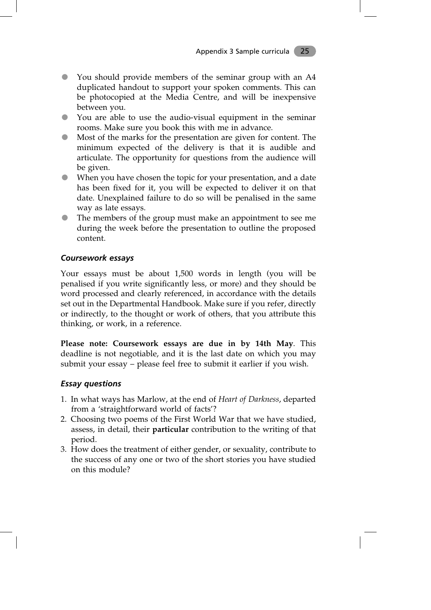- You should provide members of the seminar group with an A4 duplicated handout to support your spoken comments. This can be photocopied at the Media Centre, and will be inexpensive between you.
- You are able to use the audio-visual equipment in the seminar rooms. Make sure you book this with me in advance.
- Most of the marks for the presentation are given for content. The minimum expected of the delivery is that it is audible and articulate. The opportunity for questions from the audience will be given.
- When you have chosen the topic for your presentation, and a date has been fixed for it, you will be expected to deliver it on that date. Unexplained failure to do so will be penalised in the same way as late essays.
- The members of the group must make an appointment to see me during the week before the presentation to outline the proposed content.

### *Coursework essays*

Your essays must be about 1,500 words in length (you will be penalised if you write significantly less, or more) and they should be word processed and clearly referenced, in accordance with the details set out in the Departmental Handbook. Make sure if you refer, directly or indirectly, to the thought or work of others, that you attribute this thinking, or work, in a reference.

**Please note: Coursework essays are due in by 14th May**. This deadline is not negotiable, and it is the last date on which you may submit your essay – please feel free to submit it earlier if you wish.

### *Essay questions*

- 1. In what ways has Marlow, at the end of *Heart of Darkness*, departed from a 'straightforward world of facts'?
- 2. Choosing two poems of the First World War that we have studied, assess, in detail, their **particular** contribution to the writing of that period.
- 3. How does the treatment of either gender, or sexuality, contribute to the success of any one or two of the short stories you have studied on this module?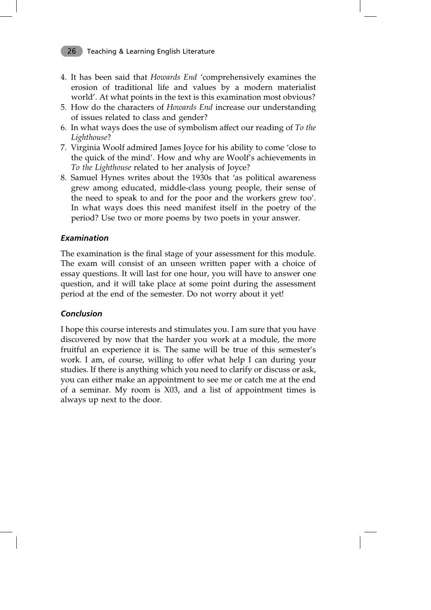- 4. It has been said that *Howards End* 'comprehensively examines the erosion of traditional life and values by a modern materialist world'. At what points in the text is this examination most obvious?
- 5. How do the characters of *Howards End* increase our understanding of issues related to class and gender?
- 6. In what ways does the use of symbolism affect our reading of *To the Lighthouse*?
- 7. Virginia Woolf admired James Joyce for his ability to come 'close to the quick of the mind'. How and why are Woolf's achievements in *To the Lighthouse* related to her analysis of Joyce?
- 8. Samuel Hynes writes about the 1930s that 'as political awareness grew among educated, middle-class young people, their sense of the need to speak to and for the poor and the workers grew too'. In what ways does this need manifest itself in the poetry of the period? Use two or more poems by two poets in your answer.

### *Examination*

The examination is the final stage of your assessment for this module. The exam will consist of an unseen written paper with a choice of essay questions. It will last for one hour, you will have to answer one question, and it will take place at some point during the assessment period at the end of the semester. Do not worry about it yet!

### *Conclusion*

I hope this course interests and stimulates you. I am sure that you have discovered by now that the harder you work at a module, the more fruitful an experience it is. The same will be true of this semester's work. I am, of course, willing to offer what help I can during your studies. If there is anything which you need to clarify or discuss or ask, you can either make an appointment to see me or catch me at the end of a seminar. My room is X03, and a list of appointment times is always up next to the door.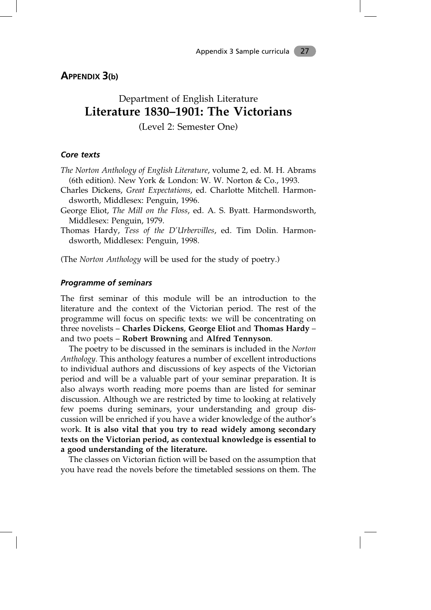**APPENDIX 3(b)**

# Department of English Literature **Literature 1830–1901: The Victorians**

(Level 2: Semester One)

### *Core texts*

- *The Norton Anthology of English Literature*, volume 2, ed. M. H. Abrams (6th edition). New York & London: W. W. Norton & Co., 1993.
- Charles Dickens, *Great Expectations*, ed. Charlotte Mitchell. Harmondsworth, Middlesex: Penguin, 1996.
- George Eliot, *The Mill on the Floss*, ed. A. S. Byatt. Harmondsworth, Middlesex: Penguin, 1979.
- Thomas Hardy, *Tess of the D'Urbervilles*, ed. Tim Dolin. Harmondsworth, Middlesex: Penguin, 1998.

(The *Norton Anthology* will be used for the study of poetry.)

### *Programme of seminars*

The first seminar of this module will be an introduction to the literature and the context of the Victorian period. The rest of the programme will focus on specific texts: we will be concentrating on three novelists – **Charles Dickens**, **George Eliot** and **Thomas Hardy** – and two poets – **Robert Browning** and **Alfred Tennyson**.

The poetry to be discussed in the seminars is included in the *Norton Anthology.* This anthology features a number of excellent introductions to individual authors and discussions of key aspects of the Victorian period and will be a valuable part of your seminar preparation. It is also always worth reading more poems than are listed for seminar discussion. Although we are restricted by time to looking at relatively few poems during seminars, your understanding and group discussion will be enriched if you have a wider knowledge of the author's work. **It is also vital that you try to read widely among secondary texts on the Victorian period, as contextual knowledge is essential to a good understanding of the literature.**

The classes on Victorian fiction will be based on the assumption that you have read the novels before the timetabled sessions on them. The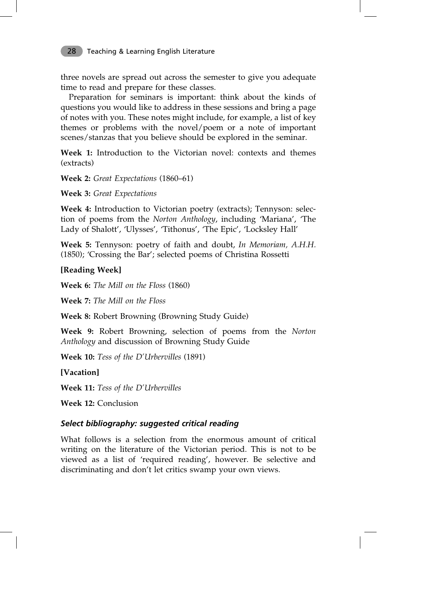three novels are spread out across the semester to give you adequate time to read and prepare for these classes.

Preparation for seminars is important: think about the kinds of questions you would like to address in these sessions and bring a page of notes with you. These notes might include, for example, a list of key themes or problems with the novel/poem or a note of important scenes/stanzas that you believe should be explored in the seminar.

**Week 1:** Introduction to the Victorian novel: contexts and themes (extracts)

**Week 2:** *Great Expectations* (1860–61)

**Week 3:** *Great Expectations*

**Week 4:** Introduction to Victorian poetry (extracts); Tennyson: selection of poems from the *Norton Anthology*, including 'Mariana', 'The Lady of Shalott', 'Ulysses', 'Tithonus', 'The Epic', 'Locksley Hall'

**Week 5:** Tennyson: poetry of faith and doubt, *In Memoriam, A.H.H.* (1850); 'Crossing the Bar'; selected poems of Christina Rossetti

**[Reading Week]**

**Week 6:** *The Mill on the Floss* (1860)

**Week 7:** *The Mill on the Floss*

**Week 8:** Robert Browning (Browning Study Guide)

**Week 9:** Robert Browning, selection of poems from the *Norton Anthology* and discussion of Browning Study Guide

**Week 10:** *Tess of the D'Urbervilles* (1891)

**[Vacation]**

**Week 11:** *Tess of the D'Urbervilles*

**Week 12:** Conclusion

### *Select bibliography: suggested critical reading*

What follows is a selection from the enormous amount of critical writing on the literature of the Victorian period. This is not to be viewed as a list of 'required reading', however. Be selective and discriminating and don't let critics swamp your own views.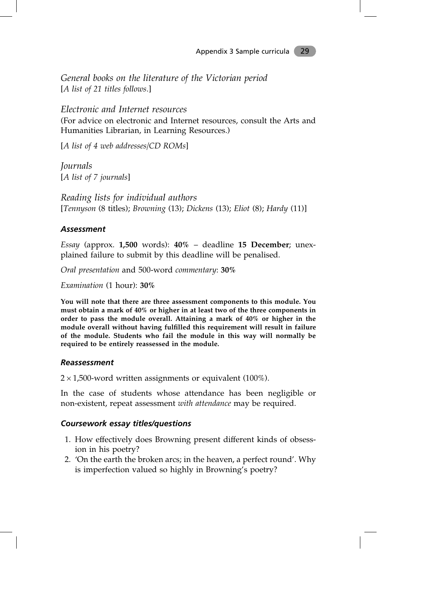*General books on the literature of the Victorian period* [*A list of 21 titles follows.*]

*Electronic and Internet resources*

(For advice on electronic and Internet resources, consult the Arts and Humanities Librarian, in Learning Resources.)

[*A list of 4 web addresses/CD ROMs*]

*Journals* [*A list of 7 journals*]

*Reading lists for individual authors* [*Tennyson* (8 titles); *Browning* (13); *Dickens* (13); *Eliot* (8); *Hardy* (11)]

### *Assessment*

*Essay* (approx. **1,500** words): **40%** – deadline **15 December**; unexplained failure to submit by this deadline will be penalised.

*Oral presentation* and 500-word *commentary*: **30%**

*Examination* (1 hour): **30%**

**You will note that there are three assessment components to this module. You must obtain a mark of 40% or higher in at least two of the three components in order to pass the module overall. Attaining a mark of 40% or higher in the module overall without having fulfilled this requirement will result in failure of the module. Students who fail the module in this way will normally be required to be entirely reassessed in the module.**

### *Reassessment*

 $2 \times 1,500$ -word written assignments or equivalent (100%).

In the case of students whose attendance has been negligible or non-existent, repeat assessment *with attendance* may be required.

### *Coursework essay titles/questions*

- 1. How effectively does Browning present different kinds of obsession in his poetry?
- 2. 'On the earth the broken arcs; in the heaven, a perfect round'. Why is imperfection valued so highly in Browning's poetry?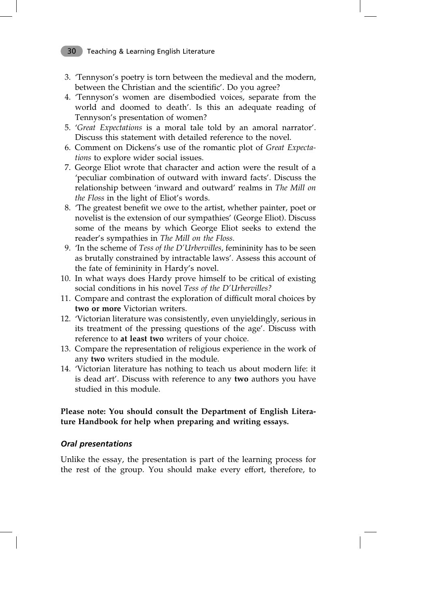- 3. 'Tennyson's poetry is torn between the medieval and the modern, between the Christian and the scientific'. Do you agree?
- 4. 'Tennyson's women are disembodied voices, separate from the world and doomed to death'. Is this an adequate reading of Tennyson's presentation of women?
- 5. '*Great Expectations* is a moral tale told by an amoral narrator'. Discuss this statement with detailed reference to the novel.
- 6. Comment on Dickens's use of the romantic plot of *Great Expectations* to explore wider social issues.
- 7. George Eliot wrote that character and action were the result of a 'peculiar combination of outward with inward facts'. Discuss the relationship between 'inward and outward' realms in *The Mill on the Floss* in the light of Eliot's words.
- 8. 'The greatest benefit we owe to the artist, whether painter, poet or novelist is the extension of our sympathies' (George Eliot). Discuss some of the means by which George Eliot seeks to extend the reader's sympathies in *The Mill on the Floss.*
- 9. 'In the scheme of *Tess of the D'Urbervilles*, femininity has to be seen as brutally constrained by intractable laws'. Assess this account of the fate of femininity in Hardy's novel.
- 10. In what ways does Hardy prove himself to be critical of existing social conditions in his novel *Tess of the D'Urbervilles?*
- 11. Compare and contrast the exploration of difficult moral choices by **two or more** Victorian writers.
- 12. 'Victorian literature was consistently, even unyieldingly, serious in its treatment of the pressing questions of the age'. Discuss with reference to **at least two** writers of your choice.
- 13. Compare the representation of religious experience in the work of any **two** writers studied in the module.
- 14. 'Victorian literature has nothing to teach us about modern life: it is dead art'. Discuss with reference to any **two** authors you have studied in this module.

### **Please note: You should consult the Department of English Literature Handbook for help when preparing and writing essays.**

### *Oral presentations*

Unlike the essay, the presentation is part of the learning process for the rest of the group. You should make every effort, therefore, to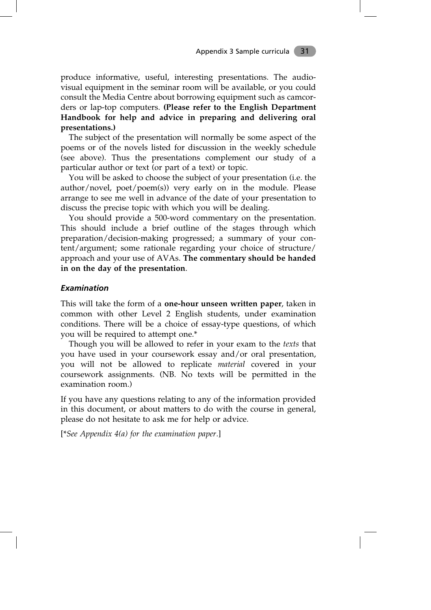produce informative, useful, interesting presentations. The audiovisual equipment in the seminar room will be available, or you could consult the Media Centre about borrowing equipment such as camcorders or lap-top computers. **(Please refer to the English Department Handbook for help and advice in preparing and delivering oral presentations.)**

The subject of the presentation will normally be some aspect of the poems or of the novels listed for discussion in the weekly schedule (see above). Thus the presentations complement our study of a particular author or text (or part of a text) or topic.

You will be asked to choose the subject of your presentation (i.e. the author/novel, poet/poem(s)) very early on in the module. Please arrange to see me well in advance of the date of your presentation to discuss the precise topic with which you will be dealing.

You should provide a 500-word commentary on the presentation. This should include a brief outline of the stages through which preparation/decision-making progressed; a summary of your content/argument; some rationale regarding your choice of structure/ approach and your use of AVAs. **The commentary should be handed in on the day of the presentation**.

### *Examination*

This will take the form of a **one-hour unseen written paper**, taken in common with other Level 2 English students, under examination conditions. There will be a choice of essay-type questions, of which you will be required to attempt one.\*

Though you will be allowed to refer in your exam to the *texts* that you have used in your coursework essay and/or oral presentation, you will not be allowed to replicate *material* covered in your coursework assignments. (NB. No texts will be permitted in the examination room.)

If you have any questions relating to any of the information provided in this document, or about matters to do with the course in general, please do not hesitate to ask me for help or advice.

[\**See Appendix 4(a) for the examination paper.*]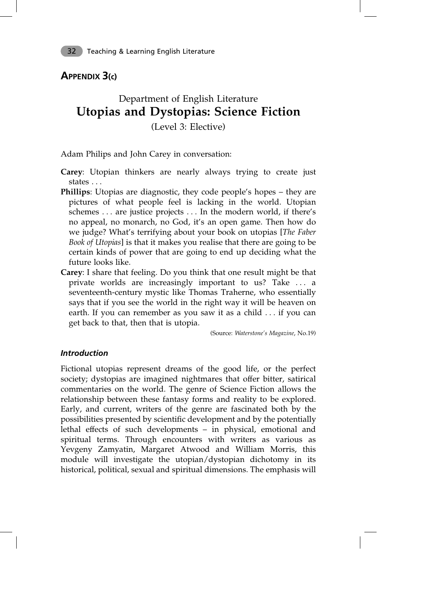# **APPENDIX 3(c)**

# Department of English Literature **Utopias and Dystopias: Science Fiction** (Level 3: Elective)

Adam Philips and John Carey in conversation:

- **Carey**: Utopian thinkers are nearly always trying to create just states . . .
- **Phillips**: Utopias are diagnostic, they code people's hopes they are pictures of what people feel is lacking in the world. Utopian schemes . . . are justice projects . . . In the modern world, if there's no appeal, no monarch, no God, it's an open game. Then how do we judge? What's terrifying about your book on utopias [*The Faber Book of Utopias*] is that it makes you realise that there are going to be certain kinds of power that are going to end up deciding what the future looks like.
- **Carey**: I share that feeling. Do you think that one result might be that private worlds are increasingly important to us? Take . . . a seventeenth-century mystic like Thomas Traherne, who essentially says that if you see the world in the right way it will be heaven on earth. If you can remember as you saw it as a child . . . if you can get back to that, then that is utopia.

(Source: *Waterstone's Magazine*, No.19)

### *Introduction*

Fictional utopias represent dreams of the good life, or the perfect society; dystopias are imagined nightmares that offer bitter, satirical commentaries on the world. The genre of Science Fiction allows the relationship between these fantasy forms and reality to be explored. Early, and current, writers of the genre are fascinated both by the possibilities presented by scientific development and by the potentially lethal effects of such developments – in physical, emotional and spiritual terms. Through encounters with writers as various as Yevgeny Zamyatin, Margaret Atwood and William Morris, this module will investigate the utopian/dystopian dichotomy in its historical, political, sexual and spiritual dimensions. The emphasis will

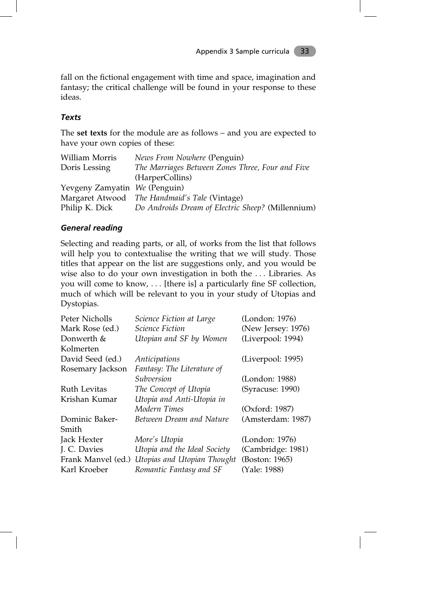fall on the fictional engagement with time and space, imagination and fantasy; the critical challenge will be found in your response to these ideas.

### *Texts*

The **set texts** for the module are as follows – and you are expected to have your own copies of these:

| William Morris                | News From Nowhere (Penguin)                       |
|-------------------------------|---------------------------------------------------|
| Doris Lessing                 | The Marriages Between Zones Three, Four and Five  |
|                               | (HarperCollins)                                   |
| Yevgeny Zamyatin We (Penguin) |                                                   |
|                               | Margaret Atwood The Handmaid's Tale (Vintage)     |
| Philip K. Dick                | Do Androids Dream of Electric Sheep? (Millennium) |

### *General reading*

Selecting and reading parts, or all, of works from the list that follows will help you to contextualise the writing that we will study. Those titles that appear on the list are suggestions only, and you would be wise also to do your own investigation in both the . . . Libraries. As you will come to know, . . . [there is] a particularly fine SF collection, much of which will be relevant to you in your study of Utopias and Dystopias.

| Peter Nicholls     | Science Fiction at Large     | (London: 1976)     |
|--------------------|------------------------------|--------------------|
| Mark Rose (ed.)    | <b>Science Fiction</b>       | (New Jersey: 1976) |
| Donwerth &         | Utopian and SF by Women      | (Liverpool: 1994)  |
| Kolmerten          |                              |                    |
| David Seed (ed.)   | Anticipations                | (Liverpool: 1995)  |
| Rosemary Jackson   | Fantasy: The Literature of   |                    |
|                    | Subversion                   | (London: 1988)     |
| Ruth Levitas       | The Concept of Utopia        | (Syracuse: 1990)   |
| Krishan Kumar      | Utopia and Anti-Utopia in    |                    |
|                    | Modern Times                 | (Oxford: 1987)     |
| Dominic Baker-     | Between Dream and Nature     | (Amsterdam: 1987)  |
| Smith              |                              |                    |
| Jack Hexter        | More's Utopia                | (London: 1976)     |
| J. C. Davies       | Utopia and the Ideal Society | (Cambridge: 1981)  |
| Frank Manvel (ed.) | Utopias and Utopian Thought  | (Boston: 1965)     |
| Karl Kroeber       | Romantic Fantasy and SF      | (Yale: 1988)       |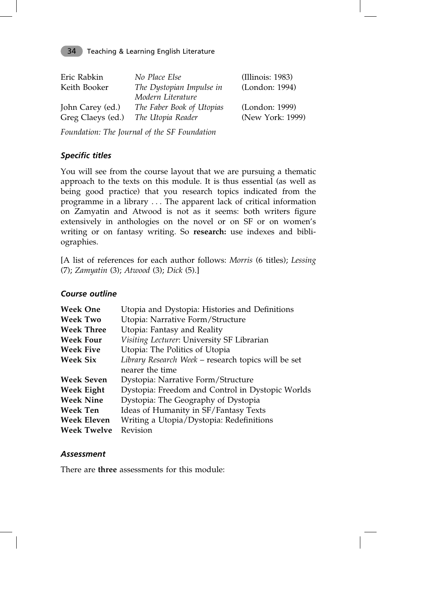| Eric Rabkin<br>Keith Booker | No Place Else<br>The Dystopian Impulse in<br>Modern Literature | (Illinois: 1983)<br>(London: 1994) |
|-----------------------------|----------------------------------------------------------------|------------------------------------|
| John Carey (ed.)            | The Faber Book of Utopias                                      | (London: 1999)                     |
| Greg Claeys (ed.)           | The Utopia Reader                                              | (New York: 1999)                   |

*Foundation: The Journal of the SF Foundation*

### *Specific titles*

You will see from the course layout that we are pursuing a thematic approach to the texts on this module. It is thus essential (as well as being good practice) that you research topics indicated from the programme in a library . . . The apparent lack of critical information on Zamyatin and Atwood is not as it seems: both writers figure extensively in anthologies on the novel or on SF or on women's writing or on fantasy writing. So **research:** use indexes and bibliographies.

[A list of references for each author follows: *Morris* (6 titles); *Lessing* (7); *Zamyatin* (3); *Atwood* (3); *Dick* (5).]

### *Course outline*

| <b>Week One</b>    | Utopia and Dystopia: Histories and Definitions      |
|--------------------|-----------------------------------------------------|
| <b>Week Two</b>    | Utopia: Narrative Form/Structure                    |
| <b>Week Three</b>  | Utopia: Fantasy and Reality                         |
| <b>Week Four</b>   | Visiting Lecturer: University SF Librarian          |
| <b>Week Five</b>   | Utopia: The Politics of Utopia                      |
| <b>Week Six</b>    | Library Research Week - research topics will be set |
|                    | nearer the time                                     |
| <b>Week Seven</b>  | Dystopia: Narrative Form/Structure                  |
| Week Eight         | Dystopia: Freedom and Control in Dystopic Worlds    |
| <b>Week Nine</b>   | Dystopia: The Geography of Dystopia                 |
| Week Ten           | Ideas of Humanity in SF/Fantasy Texts               |
| Week Eleven        | Writing a Utopia/Dystopia: Redefinitions            |
| <b>Week Twelve</b> | Revision                                            |

### *Assessment*

There are **three** assessments for this module: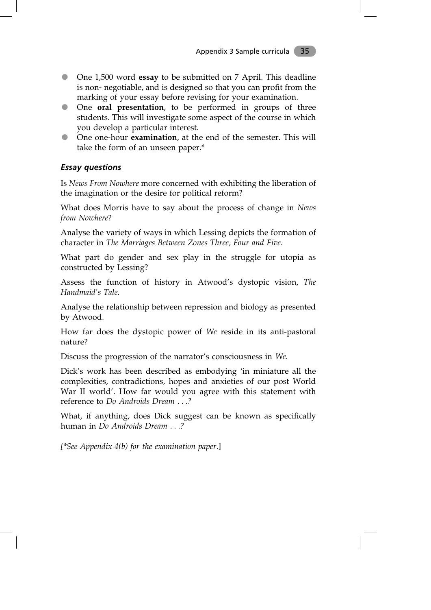- One 1,500 word **essay** to be submitted on 7 April. This deadline is non- negotiable, and is designed so that you can profit from the marking of your essay before revising for your examination.
- One **oral presentation**, to be performed in groups of three students. This will investigate some aspect of the course in which you develop a particular interest.
- One one-hour **examination**, at the end of the semester. This will take the form of an unseen paper.\*

### *Essay questions*

Is *News From Nowhere* more concerned with exhibiting the liberation of the imagination or the desire for political reform?

What does Morris have to say about the process of change in *News from Nowhere*?

Analyse the variety of ways in which Lessing depicts the formation of character in *The Marriages Between Zones Three, Four and Five*.

What part do gender and sex play in the struggle for utopia as constructed by Lessing?

Assess the function of history in Atwood's dystopic vision, *The Handmaid's Tale*.

Analyse the relationship between repression and biology as presented by Atwood.

How far does the dystopic power of *We* reside in its anti-pastoral nature?

Discuss the progression of the narrator's consciousness in *We*.

Dick's work has been described as embodying 'in miniature all the complexities, contradictions, hopes and anxieties of our post World War II world'. How far would you agree with this statement with reference to *Do Androids Dream . . .?*

What, if anything, does Dick suggest can be known as specifically human in *Do Androids Dream . . .?*

*[\*See Appendix 4(b) for the examination paper.*]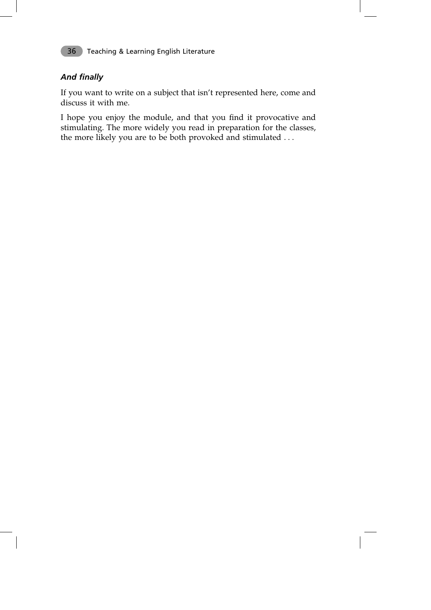

# *And finally*

If you want to write on a subject that isn't represented here, come and discuss it with me.

I hope you enjoy the module, and that you find it provocative and stimulating. The more widely you read in preparation for the classes, the more likely you are to be both provoked and stimulated . . .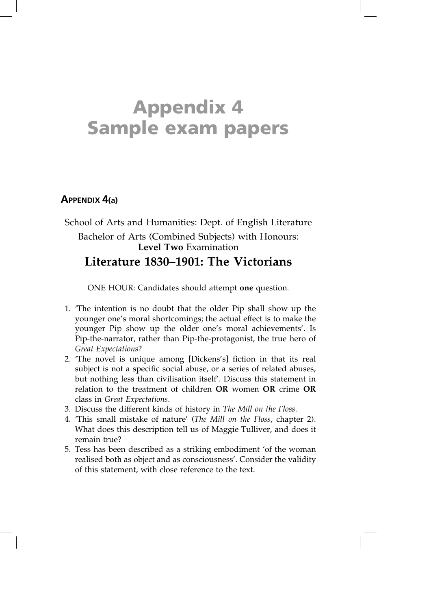# **Appendix 4 Sample exam papers**

# **APPENDIX 4(a)**

# School of Arts and Humanities: Dept. of English Literature Bachelor of Arts (Combined Subjects) with Honours: **Level Two** Examination **Literature 1830–1901: The Victorians**

ONE HOUR: Candidates should attempt **one** question.

- 1. 'The intention is no doubt that the older Pip shall show up the younger one's moral shortcomings; the actual effect is to make the younger Pip show up the older one's moral achievements'. Is Pip-the-narrator, rather than Pip-the-protagonist, the true hero of *Great Expectations*?
- 2. 'The novel is unique among [Dickens's] fiction in that its real subject is not a specific social abuse, or a series of related abuses, but nothing less than civilisation itself'. Discuss this statement in relation to the treatment of children **OR** women **OR** crime **OR** class in *Great Expectations*.
- 3. Discuss the different kinds of history in *The Mill on the Floss*.
- 4. 'This small mistake of nature' (*The Mill on the Floss*, chapter 2). What does this description tell us of Maggie Tulliver, and does it remain true?
- 5. Tess has been described as a striking embodiment 'of the woman realised both as object and as consciousness'. Consider the validity of this statement, with close reference to the text.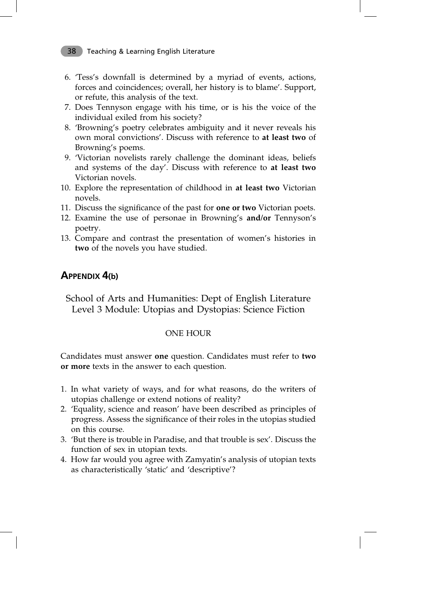- 6. 'Tess's downfall is determined by a myriad of events, actions, forces and coincidences; overall, her history is to blame'. Support, or refute, this analysis of the text.
- 7. Does Tennyson engage with his time, or is his the voice of the individual exiled from his society?
- 8. 'Browning's poetry celebrates ambiguity and it never reveals his own moral convictions'. Discuss with reference to **at least two** of Browning's poems.
- 9. 'Victorian novelists rarely challenge the dominant ideas, beliefs and systems of the day'. Discuss with reference to **at least two** Victorian novels.
- 10. Explore the representation of childhood in **at least two** Victorian novels.
- 11. Discuss the significance of the past for **one or two** Victorian poets.
- 12. Examine the use of personae in Browning's **and/or** Tennyson's poetry.
- 13. Compare and contrast the presentation of women's histories in **two** of the novels you have studied.

### **APPENDIX 4(b)**

School of Arts and Humanities: Dept of English Literature Level 3 Module: Utopias and Dystopias: Science Fiction

### ONE HOUR

Candidates must answer **one** question. Candidates must refer to **two or more** texts in the answer to each question.

- 1. In what variety of ways, and for what reasons, do the writers of utopias challenge or extend notions of reality?
- 2. 'Equality, science and reason' have been described as principles of progress. Assess the significance of their roles in the utopias studied on this course.
- 3. 'But there is trouble in Paradise, and that trouble is sex'. Discuss the function of sex in utopian texts.
- 4. How far would you agree with Zamyatin's analysis of utopian texts as characteristically 'static' and 'descriptive'?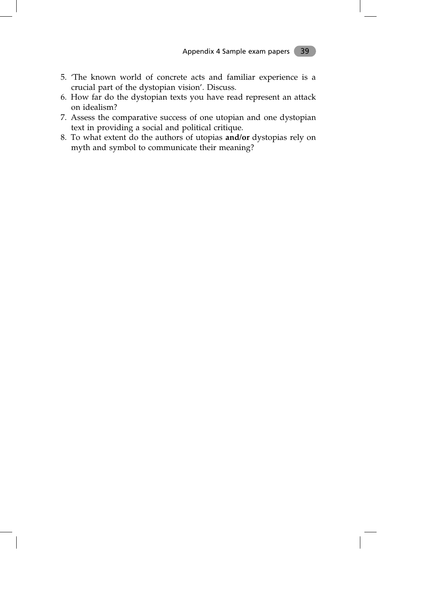- 5. 'The known world of concrete acts and familiar experience is a crucial part of the dystopian vision'. Discuss.
- 6. How far do the dystopian texts you have read represent an attack on idealism?
- 7. Assess the comparative success of one utopian and one dystopian text in providing a social and political critique.
- 8. To what extent do the authors of utopias **and/or** dystopias rely on myth and symbol to communicate their meaning?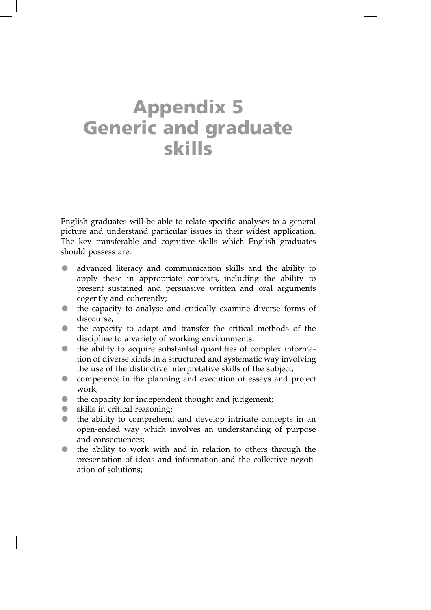# **Appendix 5 Generic and graduate skills**

English graduates will be able to relate specific analyses to a general picture and understand particular issues in their widest application. The key transferable and cognitive skills which English graduates should possess are:

- advanced literacy and communication skills and the ability to apply these in appropriate contexts, including the ability to present sustained and persuasive written and oral arguments cogently and coherently;
- the capacity to analyse and critically examine diverse forms of discourse;
- the capacity to adapt and transfer the critical methods of the discipline to a variety of working environments;
- the ability to acquire substantial quantities of complex information of diverse kinds in a structured and systematic way involving the use of the distinctive interpretative skills of the subject;
- **•** competence in the planning and execution of essays and project work;
- the capacity for independent thought and judgement;
- skills in critical reasoning;
- the ability to comprehend and develop intricate concepts in an open-ended way which involves an understanding of purpose and consequences;
- the ability to work with and in relation to others through the presentation of ideas and information and the collective negotiation of solutions;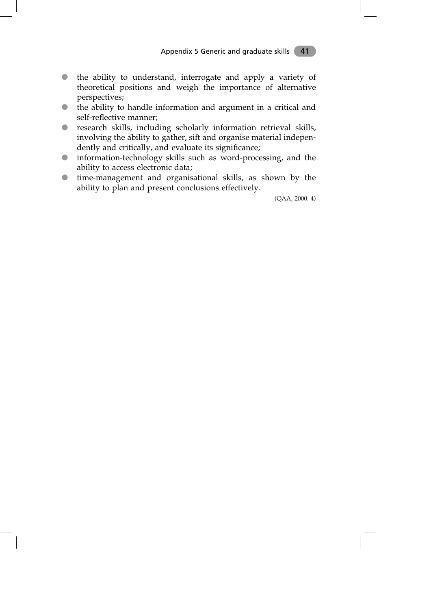- the ability to understand, interrogate and apply a variety of theoretical positions and weigh the importance of alternative perspectives;
- the ability to handle information and argument in a critical and self-reflective manner;
- research skills, including scholarly information retrieval skills, involving the ability to gather, sift and organise material independently and critically, and evaluate its significance;
- information-technology skills such as word-processing, and the ability to access electronic data;
- time-management and organisational skills, as shown by the ability to plan and present conclusions effectively.

(QAA, 2000: 4)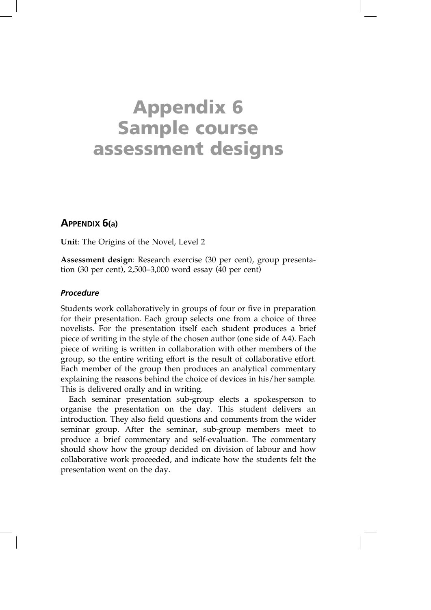# **Appendix 6 Sample course assessment designs**

### **APPENDIX 6(a)**

**Unit**: The Origins of the Novel, Level 2

**Assessment design**: Research exercise (30 per cent), group presentation (30 per cent), 2,500–3,000 word essay (40 per cent)

### *Procedure*

Students work collaboratively in groups of four or five in preparation for their presentation. Each group selects one from a choice of three novelists. For the presentation itself each student produces a brief piece of writing in the style of the chosen author (one side of A4). Each piece of writing is written in collaboration with other members of the group, so the entire writing effort is the result of collaborative effort. Each member of the group then produces an analytical commentary explaining the reasons behind the choice of devices in his/her sample. This is delivered orally and in writing.

Each seminar presentation sub-group elects a spokesperson to organise the presentation on the day. This student delivers an introduction. They also field questions and comments from the wider seminar group. After the seminar, sub-group members meet to produce a brief commentary and self-evaluation. The commentary should show how the group decided on division of labour and how collaborative work proceeded, and indicate how the students felt the presentation went on the day.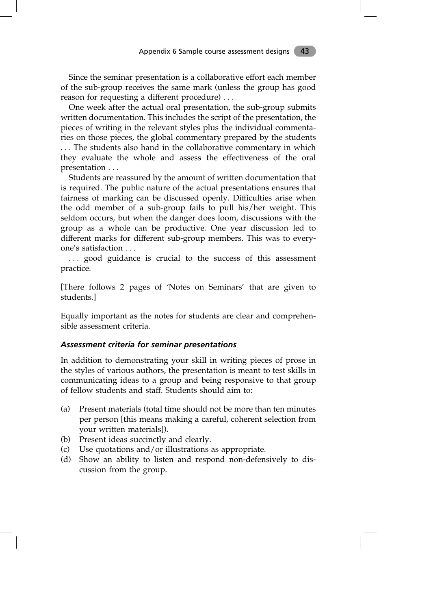Since the seminar presentation is a collaborative effort each member of the sub-group receives the same mark (unless the group has good reason for requesting a different procedure) . . .

One week after the actual oral presentation, the sub-group submits written documentation. This includes the script of the presentation, the pieces of writing in the relevant styles plus the individual commentaries on those pieces, the global commentary prepared by the students . . . The students also hand in the collaborative commentary in which they evaluate the whole and assess the effectiveness of the oral presentation . . .

Students are reassured by the amount of written documentation that is required. The public nature of the actual presentations ensures that fairness of marking can be discussed openly. Difficulties arise when the odd member of a sub-group fails to pull his/her weight. This seldom occurs, but when the danger does loom, discussions with the group as a whole can be productive. One year discussion led to different marks for different sub-group members. This was to everyone's satisfaction . . .

... good guidance is crucial to the success of this assessment practice.

[There follows 2 pages of 'Notes on Seminars' that are given to students.]

Equally important as the notes for students are clear and comprehensible assessment criteria.

#### *Assessment criteria for seminar presentations*

In addition to demonstrating your skill in writing pieces of prose in the styles of various authors, the presentation is meant to test skills in communicating ideas to a group and being responsive to that group of fellow students and staff. Students should aim to:

- (a) Present materials (total time should not be more than ten minutes per person [this means making a careful, coherent selection from your written materials]).
- (b) Present ideas succinctly and clearly.
- (c) Use quotations and/or illustrations as appropriate.
- (d) Show an ability to listen and respond non-defensively to discussion from the group.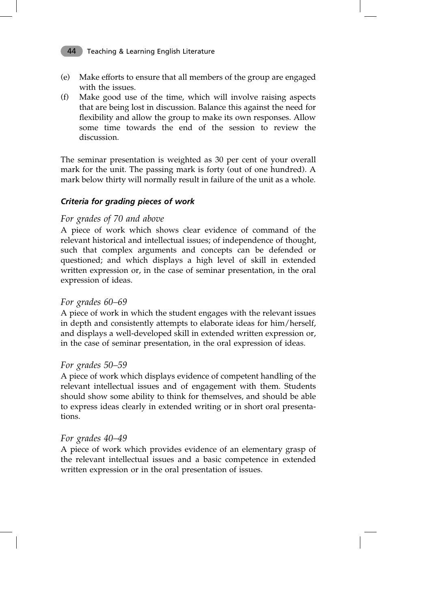- (e) Make efforts to ensure that all members of the group are engaged with the issues.
- (f) Make good use of the time, which will involve raising aspects that are being lost in discussion. Balance this against the need for flexibility and allow the group to make its own responses. Allow some time towards the end of the session to review the discussion.

The seminar presentation is weighted as 30 per cent of your overall mark for the unit. The passing mark is forty (out of one hundred). A mark below thirty will normally result in failure of the unit as a whole.

### *Criteria for grading pieces of work*

### *For grades of 70 and above*

A piece of work which shows clear evidence of command of the relevant historical and intellectual issues; of independence of thought, such that complex arguments and concepts can be defended or questioned; and which displays a high level of skill in extended written expression or, in the case of seminar presentation, in the oral expression of ideas.

### *For grades 60–69*

A piece of work in which the student engages with the relevant issues in depth and consistently attempts to elaborate ideas for him/herself, and displays a well-developed skill in extended written expression or, in the case of seminar presentation, in the oral expression of ideas.

### *For grades 50–59*

A piece of work which displays evidence of competent handling of the relevant intellectual issues and of engagement with them. Students should show some ability to think for themselves, and should be able to express ideas clearly in extended writing or in short oral presentations.

### *For grades 40–49*

A piece of work which provides evidence of an elementary grasp of the relevant intellectual issues and a basic competence in extended written expression or in the oral presentation of issues.

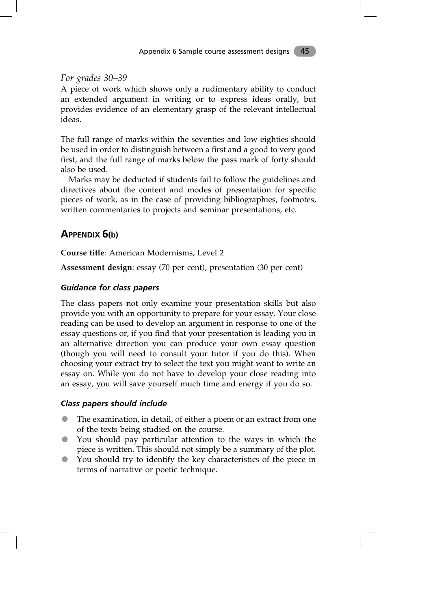### *For grades 30–39*

A piece of work which shows only a rudimentary ability to conduct an extended argument in writing or to express ideas orally, but provides evidence of an elementary grasp of the relevant intellectual ideas.

The full range of marks within the seventies and low eighties should be used in order to distinguish between a first and a good to very good first, and the full range of marks below the pass mark of forty should also be used.

Marks may be deducted if students fail to follow the guidelines and directives about the content and modes of presentation for specific pieces of work, as in the case of providing bibliographies, footnotes, written commentaries to projects and seminar presentations, etc.

### **APPENDIX 6(b)**

**Course title**: American Modernisms, Level 2

**Assessment design**: essay (70 per cent), presentation (30 per cent)

### *Guidance for class papers*

The class papers not only examine your presentation skills but also provide you with an opportunity to prepare for your essay. Your close reading can be used to develop an argument in response to one of the essay questions or, if you find that your presentation is leading you in an alternative direction you can produce your own essay question (though you will need to consult your tutor if you do this). When choosing your extract try to select the text you might want to write an essay on. While you do not have to develop your close reading into an essay, you will save yourself much time and energy if you do so.

### *Class papers should include*

- The examination, in detail, of either a poem or an extract from one of the texts being studied on the course.
- You should pay particular attention to the ways in which the piece is written. This should not simply be a summary of the plot.
- You should try to identify the key characteristics of the piece in terms of narrative or poetic technique.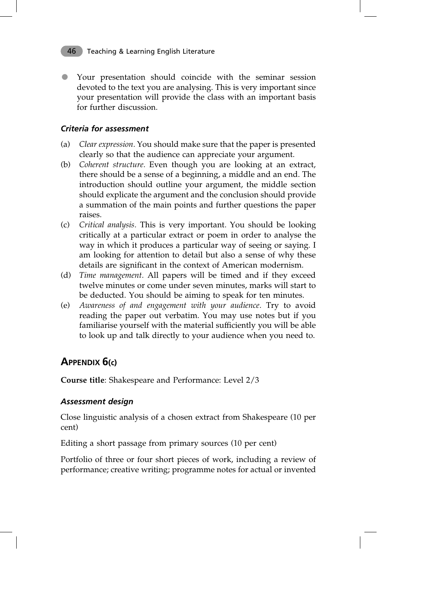Your presentation should coincide with the seminar session devoted to the text you are analysing. This is very important since your presentation will provide the class with an important basis for further discussion.

### *Criteria for assessment*

- (a) *Clear expression.* You should make sure that the paper is presented clearly so that the audience can appreciate your argument.
- (b) *Coherent structure.* Even though you are looking at an extract, there should be a sense of a beginning, a middle and an end. The introduction should outline your argument, the middle section should explicate the argument and the conclusion should provide a summation of the main points and further questions the paper raises.
- (c) *Critical analysis.* This is very important. You should be looking critically at a particular extract or poem in order to analyse the way in which it produces a particular way of seeing or saying. I am looking for attention to detail but also a sense of why these details are significant in the context of American modernism.
- (d) *Time management.* All papers will be timed and if they exceed twelve minutes or come under seven minutes, marks will start to be deducted. You should be aiming to speak for ten minutes.
- (e) *Awareness of and engagement with your audience.* Try to avoid reading the paper out verbatim. You may use notes but if you familiarise yourself with the material sufficiently you will be able to look up and talk directly to your audience when you need to.

# **APPENDIX 6(c)**

**Course title**: Shakespeare and Performance: Level 2/3

### *Assessment design*

Close linguistic analysis of a chosen extract from Shakespeare (10 per cent)

Editing a short passage from primary sources (10 per cent)

Portfolio of three or four short pieces of work, including a review of performance; creative writing; programme notes for actual or invented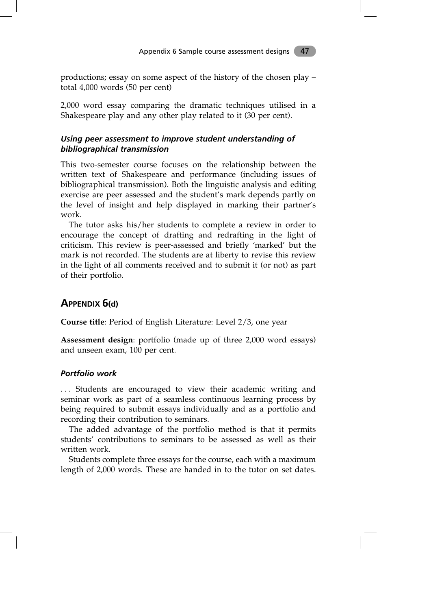productions; essay on some aspect of the history of the chosen play – total 4,000 words (50 per cent)

2,000 word essay comparing the dramatic techniques utilised in a Shakespeare play and any other play related to it (30 per cent).

### *Using peer assessment to improve student understanding of bibliographical transmission*

This two-semester course focuses on the relationship between the written text of Shakespeare and performance (including issues of bibliographical transmission). Both the linguistic analysis and editing exercise are peer assessed and the student's mark depends partly on the level of insight and help displayed in marking their partner's work.

The tutor asks his/her students to complete a review in order to encourage the concept of drafting and redrafting in the light of criticism. This review is peer-assessed and briefly 'marked' but the mark is not recorded. The students are at liberty to revise this review in the light of all comments received and to submit it (or not) as part of their portfolio.

### **APPENDIX 6(d)**

**Course title**: Period of English Literature: Level 2/3, one year

**Assessment design**: portfolio (made up of three 2,000 word essays) and unseen exam, 100 per cent.

### *Portfolio work*

... Students are encouraged to view their academic writing and seminar work as part of a seamless continuous learning process by being required to submit essays individually and as a portfolio and recording their contribution to seminars.

The added advantage of the portfolio method is that it permits students' contributions to seminars to be assessed as well as their written work.

Students complete three essays for the course, each with a maximum length of 2,000 words. These are handed in to the tutor on set dates.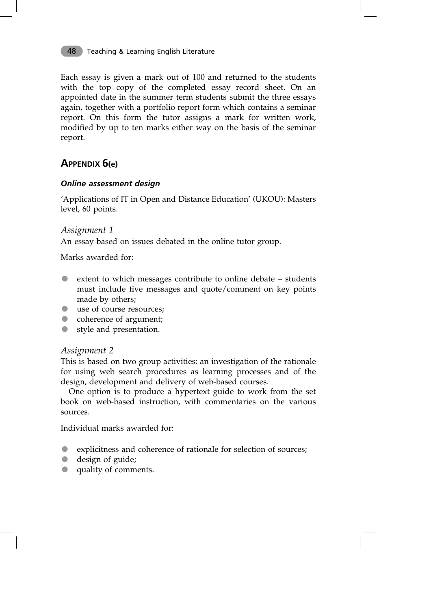Each essay is given a mark out of 100 and returned to the students with the top copy of the completed essay record sheet. On an appointed date in the summer term students submit the three essays again, together with a portfolio report form which contains a seminar report. On this form the tutor assigns a mark for written work, modified by up to ten marks either way on the basis of the seminar report.

# **APPENDIX 6(e)**

### *Online assessment design*

'Applications of IT in Open and Distance Education' (UKOU): Masters level, 60 points.

### *Assignment 1*

An essay based on issues debated in the online tutor group.

Marks awarded for:

- extent to which messages contribute to online debate students must include five messages and quote/comment on key points made by others;
- use of course resources;
- coherence of argument;
- style and presentation.

### *Assignment 2*

This is based on two group activities: an investigation of the rationale for using web search procedures as learning processes and of the design, development and delivery of web-based courses.

One option is to produce a hypertext guide to work from the set book on web-based instruction, with commentaries on the various sources.

Individual marks awarded for:

- explicitness and coherence of rationale for selection of sources;
- design of guide;
- quality of comments.

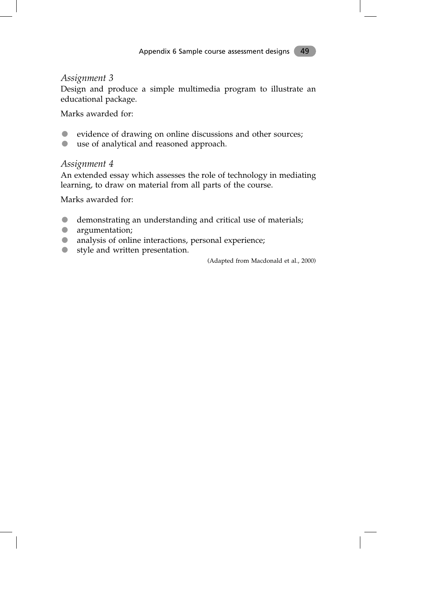### *Assignment 3*

Design and produce a simple multimedia program to illustrate an educational package.

Marks awarded for:

- evidence of drawing on online discussions and other sources;
- use of analytical and reasoned approach.

### *Assignment 4*

An extended essay which assesses the role of technology in mediating learning, to draw on material from all parts of the course.

Marks awarded for:

- demonstrating an understanding and critical use of materials;
- **argumentation;**
- analysis of online interactions, personal experience;
- style and written presentation.

(Adapted from Macdonald et al., 2000)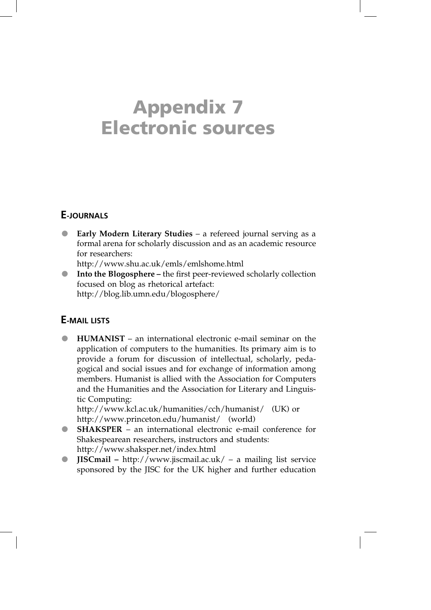# **Appendix 7 Electronic sources**

# **E-JOURNALS**

 **Early Modern Literary Studies** – a refereed journal serving as a formal arena for scholarly discussion and as an academic resource for researchers:

http://www.shu.ac.uk/emls/emlshome.html

 **Into the Blogosphere –** the first peer-reviewed scholarly collection focused on blog as rhetorical artefact: http://blog.lib.umn.edu/blogosphere/

### **E-MAIL LISTS**

 **HUMANIST** – an international electronic e-mail seminar on the application of computers to the humanities. Its primary aim is to provide a forum for discussion of intellectual, scholarly, pedagogical and social issues and for exchange of information among members. Humanist is allied with the Association for Computers and the Humanities and the Association for Literary and Linguistic Computing:

http://www.kcl.ac.uk/humanities/cch/humanist/ (UK) or http://www.princeton.edu/humanist/ (world)

- **SHAKSPER** an international electronic e-mail conference for Shakespearean researchers, instructors and students: http://www.shaksper.net/index.html
- **JISCmail –** http://www.jiscmail.ac.uk/ a mailing list service sponsored by the JISC for the UK higher and further education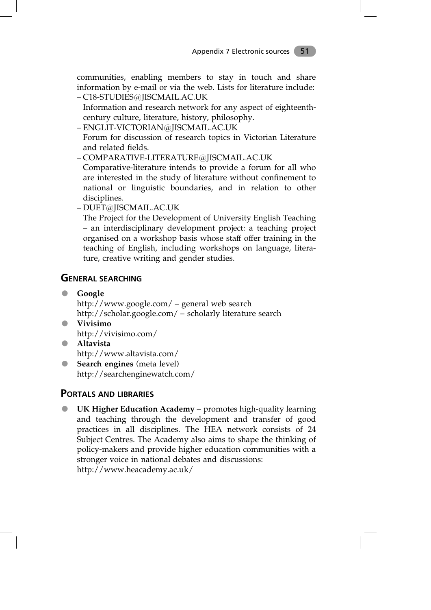communities, enabling members to stay in touch and share information by e-mail or via the web. Lists for literature include: – C18-STUDIES@JISCMAIL.AC.UK

- Information and research network for any aspect of eighteenthcentury culture, literature, history, philosophy.
- ENGLIT-VICTORIAN@JISCMAIL.AC.UK

– Forum for discussion of research topics in Victorian Literature and related fields.

– COMPARATIVE-LITERATURE@JISCMAIL.AC.UK

– Comparative-literature intends to provide a forum for all who are interested in the study of literature without confinement to national or linguistic boundaries, and in relation to other disciplines.

– DUET@JISCMAIL.AC.UK

– The Project for the Development of University English Teaching – an interdisciplinary development project: a teaching project organised on a workshop basis whose staff offer training in the teaching of English, including workshops on language, literature, creative writing and gender studies.

## **GENERAL SEARCHING**

- **Google** http://www.google.com/ – general web search http://scholar.google.com/ – scholarly literature search
- **Vivisimo** http://vivisimo.com/
- **Altavista** http://www.altavista.com/
- **Search engines** (meta level) http://searchenginewatch.com/

### **PORTALS AND LIBRARIES**

 **UK Higher Education Academy** – promotes high-quality learning and teaching through the development and transfer of good practices in all disciplines. The HEA network consists of 24 Subject Centres. The Academy also aims to shape the thinking of policy-makers and provide higher education communities with a stronger voice in national debates and discussions: http://www.heacademy.ac.uk/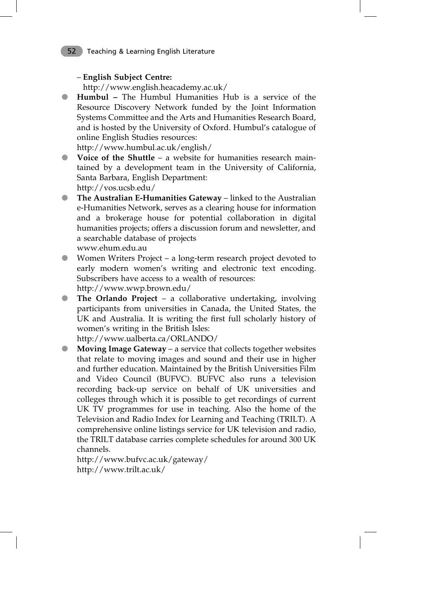### – **English Subject Centre:**

http://www.english.heacademy.ac.uk/

 **Humbul –** The Humbul Humanities Hub is a service of the Resource Discovery Network funded by the Joint Information Systems Committee and the Arts and Humanities Research Board, and is hosted by the University of Oxford. Humbul's catalogue of online English Studies resources:

http://www.humbul.ac.uk/english/

 **Voice of the Shuttle** – a website for humanities research maintained by a development team in the University of California, Santa Barbara, English Department:

http://vos.ucsb.edu/

 **The Australian E-Humanities Gateway** – linked to the Australian e-Humanities Network, serves as a clearing house for information and a brokerage house for potential collaboration in digital humanities projects; offers a discussion forum and newsletter, and a searchable database of projects

www.ehum.edu.au

- Women Writers Project a long-term research project devoted to early modern women's writing and electronic text encoding. Subscribers have access to a wealth of resources: http://www.wwp.brown.edu/
- **The Orlando Project** a collaborative undertaking, involving participants from universities in Canada, the United States, the UK and Australia. It is writing the first full scholarly history of women's writing in the British Isles:

http://www.ualberta.ca/ORLANDO/

 **Moving Image Gateway** – a service that collects together websites that relate to moving images and sound and their use in higher and further education. Maintained by the British Universities Film and Video Council (BUFVC). BUFVC also runs a television recording back-up service on behalf of UK universities and colleges through which it is possible to get recordings of current UK TV programmes for use in teaching. Also the home of the Television and Radio Index for Learning and Teaching (TRILT). A comprehensive online listings service for UK television and radio, the TRILT database carries complete schedules for around 300 UK channels.

http://www.bufvc.ac.uk/gateway/ http://www.trilt.ac.uk/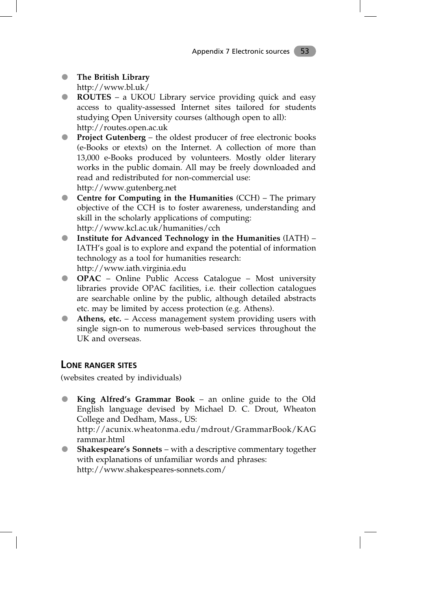- **The British Library** http://www.bl.uk/
- **ROUTES** a UKOU Library service providing quick and easy access to quality-assessed Internet sites tailored for students studying Open University courses (although open to all): http://routes.open.ac.uk
- **Project Gutenberg** the oldest producer of free electronic books (e-Books or etexts) on the Internet. A collection of more than 13,000 e-Books produced by volunteers. Mostly older literary works in the public domain. All may be freely downloaded and read and redistributed for non-commercial use: http://www.gutenberg.net
- **Centre for Computing in the Humanities** (CCH) The primary objective of the CCH is to foster awareness, understanding and skill in the scholarly applications of computing: http://www.kcl.ac.uk/humanities/cch
- **Institute for Advanced Technology in the Humanities** (IATH) IATH's goal is to explore and expand the potential of information technology as a tool for humanities research: http://www.iath.virginia.edu
- **OPAC** Online Public Access Catalogue Most university libraries provide OPAC facilities, i.e. their collection catalogues are searchable online by the public, although detailed abstracts etc. may be limited by access protection (e.g. Athens).
- **Athens, etc.** Access management system providing users with single sign-on to numerous web-based services throughout the UK and overseas.

### **LONE RANGER SITES**

(websites created by individuals)

- **King Alfred's Grammar Book** an online guide to the Old English language devised by Michael D. C. Drout, Wheaton College and Dedham, Mass., US: http://acunix.wheatonma.edu/mdrout/GrammarBook/KAG rammar.html
- **Shakespeare's Sonnets** with a descriptive commentary together with explanations of unfamiliar words and phrases: http://www.shakespeares-sonnets.com/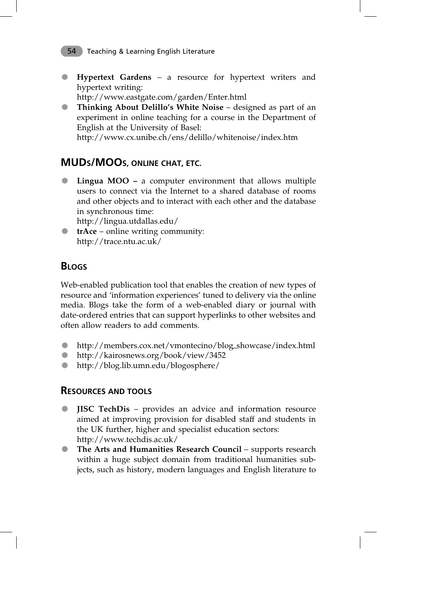**Hypertext Gardens** – a resource for hypertext writers and hypertext writing:

http://www.eastgate.com/garden/Enter.html

 **Thinking About Delillo's White Noise** – designed as part of an experiment in online teaching for a course in the Department of English at the University of Basel:

http://www.cx.unibe.ch/ens/delillo/whitenoise/index.htm

# **MUDS/MOOS, ONLINE CHAT, ETC.**

 **Lingua MOO –** a computer environment that allows multiple users to connect via the Internet to a shared database of rooms and other objects and to interact with each other and the database in synchronous time:

http://lingua.utdallas.edu/

**trAce** – online writing community: http://trace.ntu.ac.uk/

# **BLOGS**

Web-enabled publication tool that enables the creation of new types of resource and 'information experiences' tuned to delivery via the online media. Blogs take the form of a web-enabled diary or journal with date-ordered entries that can support hyperlinks to other websites and often allow readers to add comments.

- http://members.cox.net/vmontecino/blog–showcase/index.html
- http://kairosnews.org/book/view/3452
- http://blog.lib.umn.edu/blogosphere/

### **RESOURCES AND TOOLS**

- **JISC TechDis** provides an advice and information resource aimed at improving provision for disabled staff and students in the UK further, higher and specialist education sectors: http://www.techdis.ac.uk/
- **The Arts and Humanities Research Council** supports research within a huge subject domain from traditional humanities subjects, such as history, modern languages and English literature to